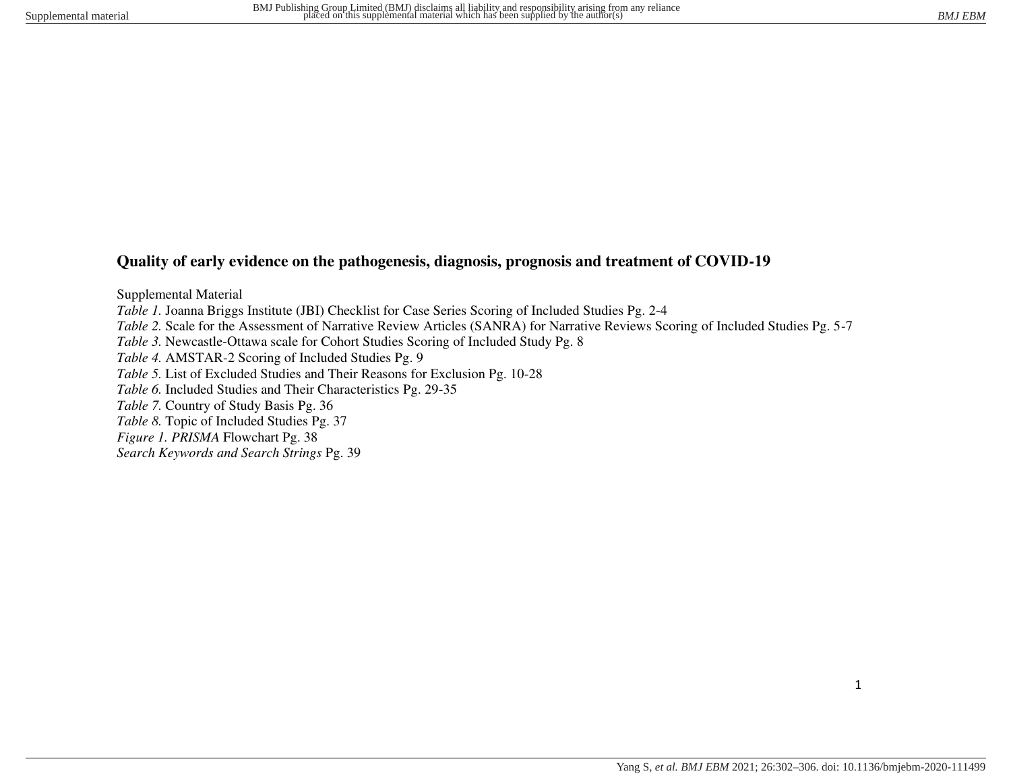# **Quality of early evidence on the pathogenesis, diagnosis, prognosis and treatment of COVID-19**

Supplemental Material *Table 1.* Joanna Briggs Institute (JBI) Checklist for Case Series Scoring of Included Studies Pg. 2-4 *Table 2.* Scale for the Assessment of Narrative Review Articles (SANRA) for Narrative Reviews Scoring of Included Studies Pg. 5-7 *Table 3.* Newcastle-Ottawa scale for Cohort Studies Scoring of Included Study Pg. 8 *Table 4.* AMSTAR-2 Scoring of Included Studies Pg. 9 *Table 5.* List of Excluded Studies and Their Reasons for Exclusion Pg. 10-28 *Table 6.* Included Studies and Their Characteristics Pg. 29-35 *Table 7.* Country of Study Basis Pg. 36 *Table 8.* Topic of Included Studies Pg. 37 *Figure 1. PRISMA* Flowchart Pg. 38

*Search Keywords and Search Strings* Pg. 39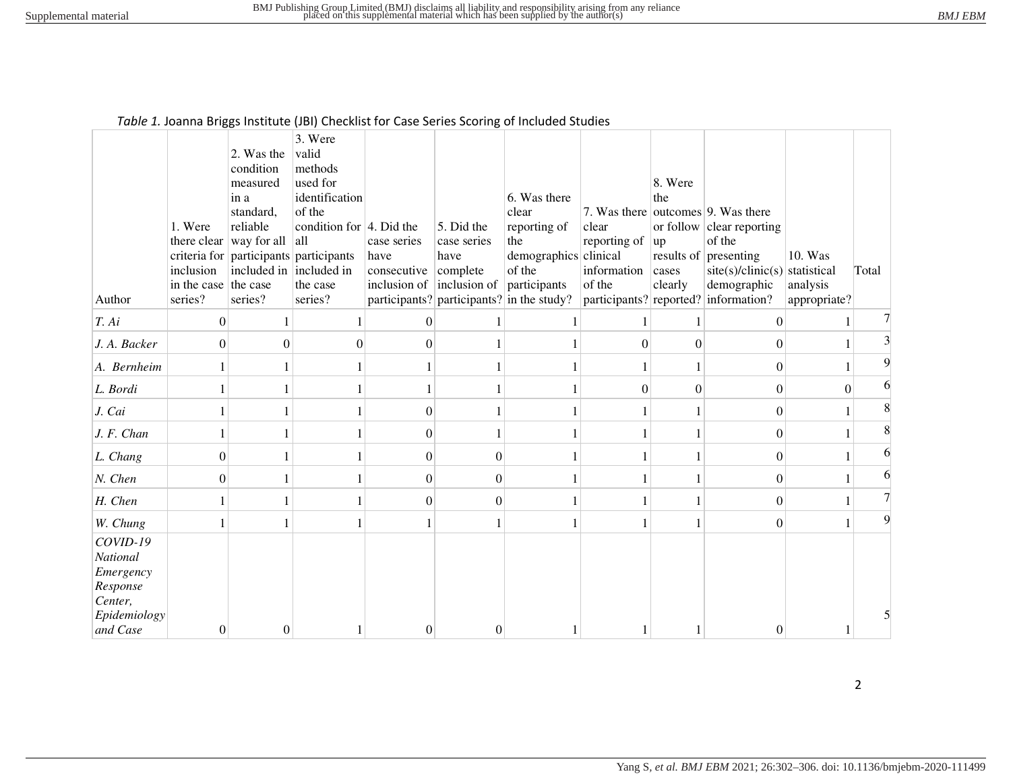#### *Table 1.* Joanna Briggs Institute (JBI) Checklist for Case Series Scoring of Included Studies

|                                                                                      | 1. Were<br>there clear          | 2. Was the<br>condition<br>measured<br>in a<br>standard,<br>reliable<br>way for all | 3. Were<br>valid<br>methods<br>used for<br>identification<br>of the<br>condition for $ 4$ . Did the<br> all<br>criteria for participants participants | case series<br>have           | 5. Did the<br>case series<br>have | 6. Was there<br>clear<br>reporting of<br>the<br>demographics clinical | clear<br>reporting of | 8. Were<br>the<br>up<br>results of | 7. Was there outcomes 9. Was there<br>or follow $\vert$ clear reporting<br>of the<br>presenting | 10. Was                  |       |
|--------------------------------------------------------------------------------------|---------------------------------|-------------------------------------------------------------------------------------|-------------------------------------------------------------------------------------------------------------------------------------------------------|-------------------------------|-----------------------------------|-----------------------------------------------------------------------|-----------------------|------------------------------------|-------------------------------------------------------------------------------------------------|--------------------------|-------|
|                                                                                      | inclusion                       | included in included in                                                             |                                                                                                                                                       | consecutive                   | complete                          | of the                                                                | information           | cases                              | $\text{site}(s)/\text{clinic}(s)$ statistical                                                   |                          | Total |
| Author                                                                               | in the case the case<br>series? | series?                                                                             | the case<br>series?                                                                                                                                   | inclusion of $ $ inclusion of |                                   | participants<br>participants? $ $ participants? in the study?         | of the                | clearly                            | demographic<br>participants? reported? information?                                             | analysis<br>appropriate? |       |
| T. Ai                                                                                | 0                               |                                                                                     | 1                                                                                                                                                     | $\mathbf{0}$                  |                                   |                                                                       |                       |                                    | $\theta$                                                                                        | 1                        |       |
|                                                                                      |                                 |                                                                                     |                                                                                                                                                       |                               |                                   |                                                                       |                       |                                    |                                                                                                 |                          |       |
| J. A. Backer                                                                         | $\overline{0}$                  | $\Omega$                                                                            | 0                                                                                                                                                     | $\Omega$                      |                                   |                                                                       | $\Omega$              | $\Omega$                           | $\theta$                                                                                        |                          |       |
| A. Bernheim                                                                          | 1                               |                                                                                     |                                                                                                                                                       |                               |                                   |                                                                       |                       | $\mathbf{1}$                       | $\boldsymbol{0}$                                                                                | 1                        | 9     |
| L. Bordi                                                                             |                                 |                                                                                     |                                                                                                                                                       |                               |                                   |                                                                       | $\theta$              | $\theta$                           | $\theta$                                                                                        | $\theta$                 | 6     |
| J. Cai                                                                               |                                 |                                                                                     |                                                                                                                                                       | $\theta$                      |                                   |                                                                       |                       |                                    | $\overline{0}$                                                                                  |                          |       |
| J. F. Chan                                                                           | 1                               |                                                                                     |                                                                                                                                                       | $\Omega$                      | 1                                 |                                                                       |                       | $\mathbf{1}$                       | $\boldsymbol{0}$                                                                                | 1                        | 8     |
| L. Chang                                                                             | $\overline{0}$                  |                                                                                     |                                                                                                                                                       | $\Omega$                      | $\overline{0}$                    |                                                                       |                       | $\mathbf{1}$                       | $\boldsymbol{0}$                                                                                | 1                        | 6     |
| N. Chen                                                                              | $\vert 0 \vert$                 |                                                                                     | 1                                                                                                                                                     | $\Omega$                      | $\overline{0}$                    |                                                                       |                       | $\mathbf{1}$                       | $\overline{0}$                                                                                  | 1                        |       |
| H. Chen                                                                              |                                 |                                                                                     |                                                                                                                                                       | $\theta$                      | $\boldsymbol{0}$                  |                                                                       |                       | $\mathbf{1}$                       | $\boldsymbol{0}$                                                                                | $\mathbf{1}$             |       |
| W. Chung                                                                             |                                 |                                                                                     |                                                                                                                                                       |                               | 1                                 |                                                                       |                       |                                    | $\boldsymbol{0}$                                                                                | 1                        | 9     |
| COVID-19<br>National<br>Emergency<br>Response<br>Center,<br>Epidemiology<br>and Case |                                 |                                                                                     |                                                                                                                                                       |                               |                                   |                                                                       |                       |                                    |                                                                                                 |                          |       |
|                                                                                      | $\mathbf{0}$                    | $\Omega$                                                                            |                                                                                                                                                       | 0                             | $\theta$                          |                                                                       |                       |                                    | $\Omega$                                                                                        |                          |       |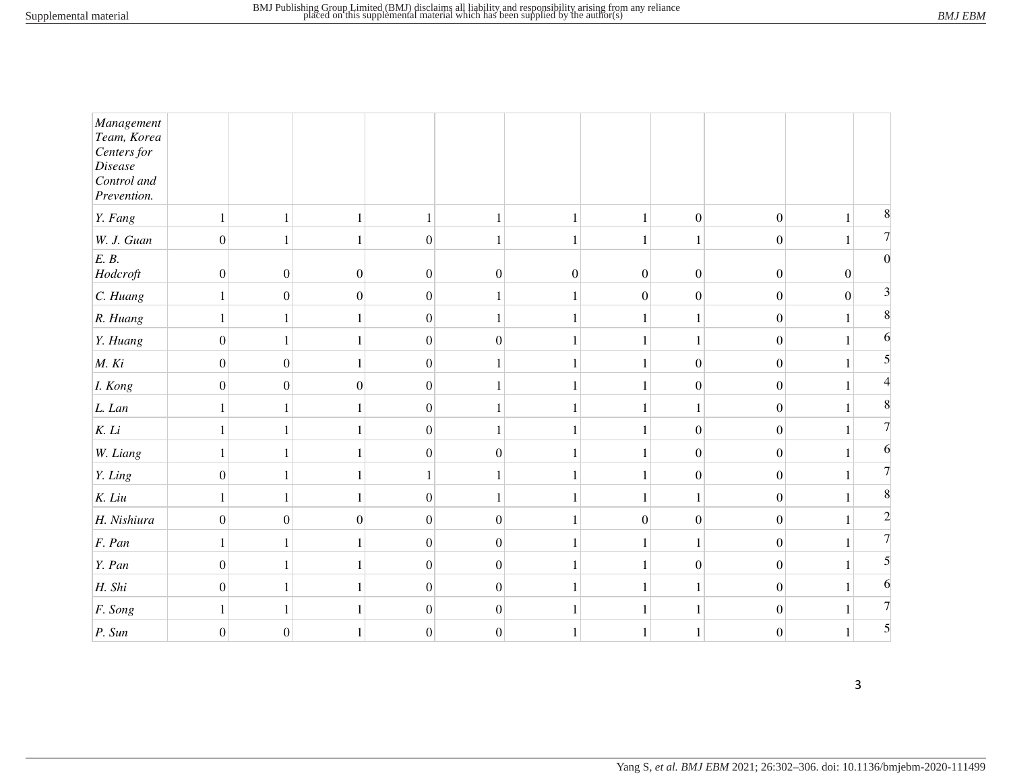| Management<br>Team, Korea<br>Centers for<br>Disease<br>Control and<br>Prevention. |                  |                  |                  |                  |                  |                  |                  |                  |                  |                  |   |
|-----------------------------------------------------------------------------------|------------------|------------------|------------------|------------------|------------------|------------------|------------------|------------------|------------------|------------------|---|
| $Y.$ Fang                                                                         | $\mathbf{1}$     | $\,1\,$          |                  | $\mathbf{1}$     |                  | $\mathbf{1}$     | $\mathbf{1}$     | $\boldsymbol{0}$ | $\boldsymbol{0}$ | 1                | 8 |
| W. J. Guan                                                                        | $\boldsymbol{0}$ | 1                |                  | $\overline{0}$   |                  |                  |                  | $\mathbf{1}$     | $\boldsymbol{0}$ |                  |   |
| E. B.<br>Hodcroft                                                                 | $\boldsymbol{0}$ | $\boldsymbol{0}$ | $\boldsymbol{0}$ | $\boldsymbol{0}$ | $\boldsymbol{0}$ | $\boldsymbol{0}$ | $\boldsymbol{0}$ | $\boldsymbol{0}$ | $\boldsymbol{0}$ | $\boldsymbol{0}$ | 0 |
| $C.$ Huang                                                                        |                  | $\overline{0}$   | $\boldsymbol{0}$ | $\overline{0}$   |                  |                  | $\boldsymbol{0}$ | $\boldsymbol{0}$ | $\boldsymbol{0}$ | $\boldsymbol{0}$ | 3 |
| R. Huang                                                                          | 1                | 1                |                  | $\overline{0}$   |                  | 1                | 1                | $\mathbf{1}$     | $\boldsymbol{0}$ |                  |   |
| Y. Huang                                                                          | $\boldsymbol{0}$ | $\mathbf{1}$     | 1                | 0                | $\boldsymbol{0}$ | 1                | 1                | $\mathbf{1}$     | $\boldsymbol{0}$ |                  |   |
| M. Ki                                                                             | $\boldsymbol{0}$ | $\overline{0}$   |                  | $\Omega$         |                  |                  |                  | $\boldsymbol{0}$ | $\boldsymbol{0}$ |                  |   |
| I. Kong                                                                           | $\boldsymbol{0}$ | $\boldsymbol{0}$ | $\boldsymbol{0}$ | $\overline{0}$   |                  |                  | 1                | $\boldsymbol{0}$ | $\boldsymbol{0}$ |                  |   |
| L. Lan                                                                            |                  | 1                |                  | $\boldsymbol{0}$ |                  |                  |                  | $\mathbf{1}$     | $\boldsymbol{0}$ |                  |   |
| K. Li                                                                             | 1                | 1                |                  | $\overline{0}$   |                  | 1                |                  | $\boldsymbol{0}$ | $\boldsymbol{0}$ |                  |   |
| W. Liang                                                                          | $\mathbf{1}$     | 1                | 1                | $\boldsymbol{0}$ | $\boldsymbol{0}$ | $\mathbf{1}$     | 1                | $\boldsymbol{0}$ | $\boldsymbol{0}$ |                  |   |
| Y. Ling                                                                           | $\boldsymbol{0}$ | 1                |                  |                  |                  |                  |                  | $\boldsymbol{0}$ | $\boldsymbol{0}$ |                  |   |
| $K.$ Liu                                                                          | 1                | 1                |                  | $\overline{0}$   |                  |                  |                  | $\mathbf{1}$     | $\boldsymbol{0}$ |                  |   |
| H. Nishiura                                                                       | $\boldsymbol{0}$ | $\boldsymbol{0}$ | $\boldsymbol{0}$ | $\vert 0 \vert$  | $\boldsymbol{0}$ |                  | $\boldsymbol{0}$ | $\boldsymbol{0}$ | $\boldsymbol{0}$ |                  |   |
| $F.$ Pan                                                                          | 1                | 1                |                  | $\boldsymbol{0}$ | $\boldsymbol{0}$ |                  |                  | $\mathbf{1}$     | $\boldsymbol{0}$ |                  |   |
| Y. Pan                                                                            | $\boldsymbol{0}$ | 1                |                  | $\overline{0}$   | $\overline{0}$   | 1                | $\mathbf{1}$     | $\boldsymbol{0}$ | $\mathbf{0}$     |                  |   |
| H. Shi                                                                            | $\boldsymbol{0}$ | 1                |                  | $\Omega$         | $\overline{0}$   |                  | 1                | $\mathbf{1}$     | $\boldsymbol{0}$ |                  |   |
| $F.$ Song                                                                         | 1                | 1                |                  | $\Omega$         | $\boldsymbol{0}$ |                  |                  | $\mathbf{1}$     | $\boldsymbol{0}$ |                  |   |
| P. Sun                                                                            | $\boldsymbol{0}$ | $\overline{0}$   |                  | $\Omega$         | $\overline{0}$   |                  | 1                | 1                | $\boldsymbol{0}$ |                  | 5 |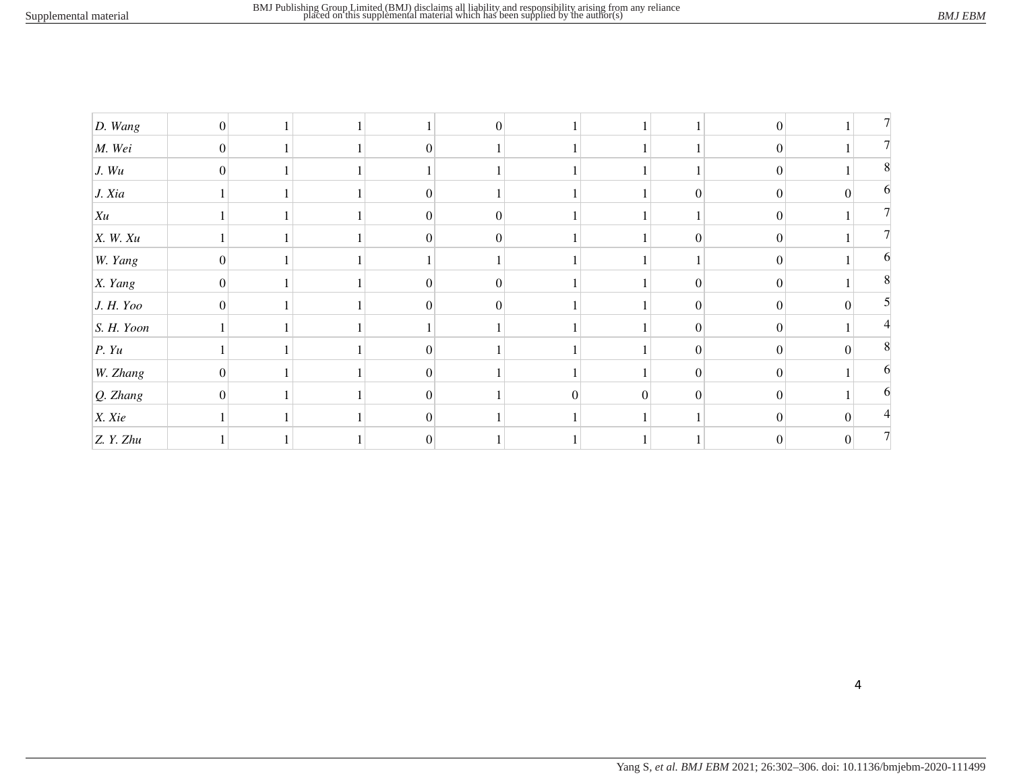| $D.$ Wang      | $\boldsymbol{0}$ |  |          | $\vert 0 \vert$ |   |          |                  | $\boldsymbol{0}$ |          |   |
|----------------|------------------|--|----------|-----------------|---|----------|------------------|------------------|----------|---|
| $\vert M.$ Wei | $\boldsymbol{0}$ |  | $\Omega$ |                 |   |          |                  | $\boldsymbol{0}$ |          |   |
| J. Wu          | $\boldsymbol{0}$ |  |          |                 |   |          |                  | $\boldsymbol{0}$ |          | 8 |
| J. Xia         |                  |  | $\Omega$ |                 |   |          | $\boldsymbol{0}$ | $\boldsymbol{0}$ | $\Omega$ | h |
| Xu             |                  |  | $\Omega$ | $\overline{0}$  |   |          |                  | $\boldsymbol{0}$ |          |   |
| $X.$ W. $Xu$   |                  |  | $\Omega$ | $\mathbf{0}$    |   |          | $\mathbf{0}$     | $\boldsymbol{0}$ |          |   |
| W. Yang        | $\boldsymbol{0}$ |  |          |                 |   |          |                  | $\boldsymbol{0}$ |          |   |
| X. Yang        | $\overline{0}$   |  | $\Omega$ | $\Omega$        |   |          | $\theta$         | $\boldsymbol{0}$ |          |   |
| J. H. Yoo      | $\theta$         |  | $\Omega$ | $\Omega$        |   |          | $\Omega$         | $\theta$         | $\Omega$ |   |
| S. H. Yoon     |                  |  |          |                 |   |          | $\theta$         | $\boldsymbol{0}$ |          |   |
| P. Yu          |                  |  | $\Omega$ |                 |   |          | $\Omega$         | $\overline{0}$   | $\Omega$ | 8 |
| W. Zhang       | $\boldsymbol{0}$ |  | 0        |                 |   |          | $\mathbf{0}$     | $\boldsymbol{0}$ |          |   |
| $Q.$ Zhang     | $\Omega$         |  | $\Omega$ |                 | ∩ | $\Omega$ | $\Omega$         | $\theta$         |          |   |
| X. Xie         |                  |  | $\Omega$ |                 |   |          |                  | $\boldsymbol{0}$ | $\Omega$ |   |
| Z. Y. Zhu      |                  |  | $\Omega$ |                 |   |          |                  |                  |          |   |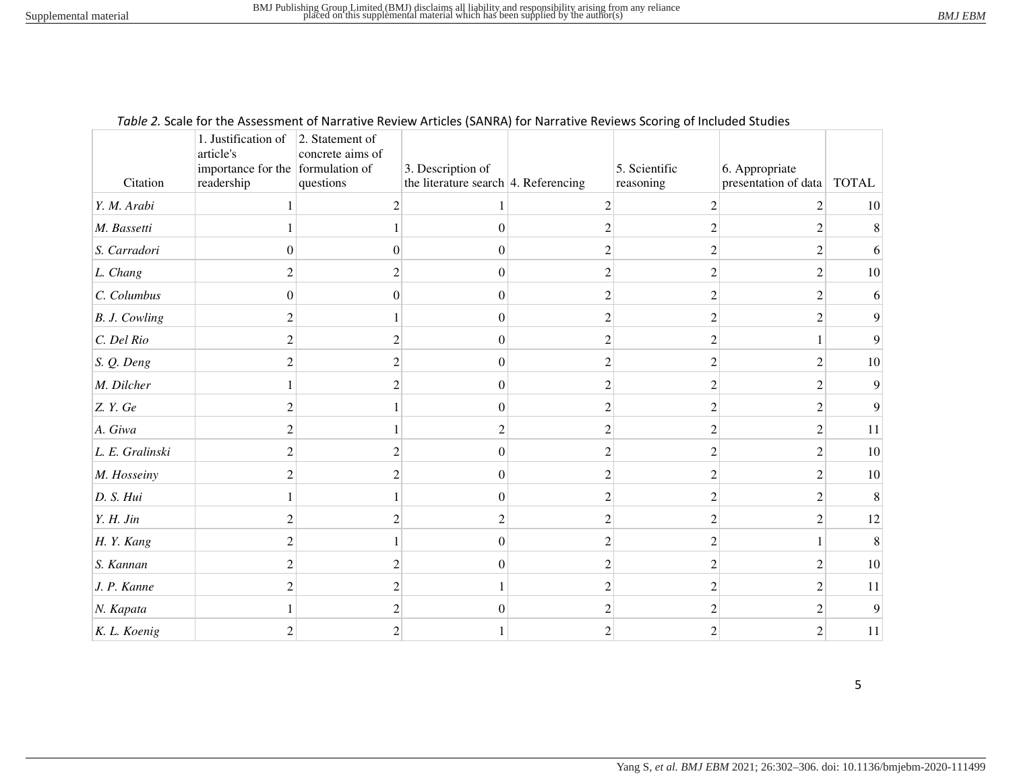| Citation        | 1. Justification of<br>article's<br>importance for the formulation of<br>readership                                                                             | 2. Statement of<br>concrete aims of<br>questions | 3. Description of<br>the literature search $ 4$ . Referencing |                | 5. Scientific<br>reasoning | 6. Appropriate<br>presentation of data | <b>TOTAL</b> |
|-----------------|-----------------------------------------------------------------------------------------------------------------------------------------------------------------|--------------------------------------------------|---------------------------------------------------------------|----------------|----------------------------|----------------------------------------|--------------|
| Y. M. Arabi     |                                                                                                                                                                 | $\mathcal{D}$                                    |                                                               |                | $\mathfrak{D}$             |                                        | 10           |
| M. Bassetti     |                                                                                                                                                                 |                                                  | $\theta$                                                      |                | C                          |                                        |              |
| S. Carradori    | 0                                                                                                                                                               |                                                  | $\overline{0}$                                                |                |                            |                                        |              |
| L. Chang        | $\mathcal{D}_{\mathcal{L}}^{\mathcal{L}}(\mathcal{L})=\mathcal{L}_{\mathcal{L}}^{\mathcal{L}}(\mathcal{L})\mathcal{L}_{\mathcal{L}}^{\mathcal{L}}(\mathcal{L})$ |                                                  | $\Omega$                                                      |                |                            | 2                                      | 10           |
| C. Columbus     | $\theta$                                                                                                                                                        | $\theta$                                         | $\theta$                                                      | 2              | 2                          | $\mathfrak{D}$                         |              |
| B. J. Cowling   |                                                                                                                                                                 |                                                  | $\Omega$                                                      |                |                            | 2                                      |              |
| C. Del Rio      |                                                                                                                                                                 |                                                  | $\Omega$                                                      |                |                            |                                        |              |
| S. Q. Deng      | 2                                                                                                                                                               |                                                  | $\Omega$                                                      | 2              | $\mathfrak{D}$             | 2                                      | 10           |
| M. Dilcher      |                                                                                                                                                                 |                                                  | 0                                                             |                |                            | っ                                      | Q            |
| Z. Y. Ge        | $\mathfrak{D}$                                                                                                                                                  |                                                  | $\Omega$                                                      |                |                            | $\mathfrak{D}$                         |              |
| A. Giwa         | 2                                                                                                                                                               |                                                  | 2                                                             | $\mathfrak{D}$ | $\mathfrak{D}$             | 2                                      | 11           |
| L. E. Gralinski |                                                                                                                                                                 |                                                  | $\Omega$                                                      |                |                            | っ                                      | $10\,$       |
| M. Hosseiny     | $\mathfrak{D}$                                                                                                                                                  |                                                  | $\Omega$                                                      |                |                            | 2                                      | $10\,$       |
| D. S. Hui       |                                                                                                                                                                 |                                                  | $\Omega$                                                      |                | 2                          | 2                                      | 8            |
| Y. H. Jin       | $\mathcal{D}_{\mathcal{A}}$                                                                                                                                     |                                                  | 2                                                             |                |                            | 2                                      | 12           |
| H.Y. Kang       | $\mathfrak{D}$                                                                                                                                                  |                                                  | $\Omega$                                                      | っ              | っ                          |                                        | 8            |
| S. Kannan       |                                                                                                                                                                 |                                                  | $\Omega$                                                      |                | $\mathcal{P}$              | 2                                      | $10\,$       |
| J. P. Kanne     | $\overline{c}$                                                                                                                                                  |                                                  |                                                               |                | 2                          | 2                                      | 11           |
| N. Kapata       |                                                                                                                                                                 |                                                  | $\theta$                                                      |                | っ                          | 2                                      | 9            |
| K. L. Koenig    |                                                                                                                                                                 |                                                  |                                                               |                | っ                          | っ                                      | 11           |

#### *Table 2.* Scale for the Assessment of Narrative Review Articles (SANRA) for Narrative Reviews Scoring of Included Studies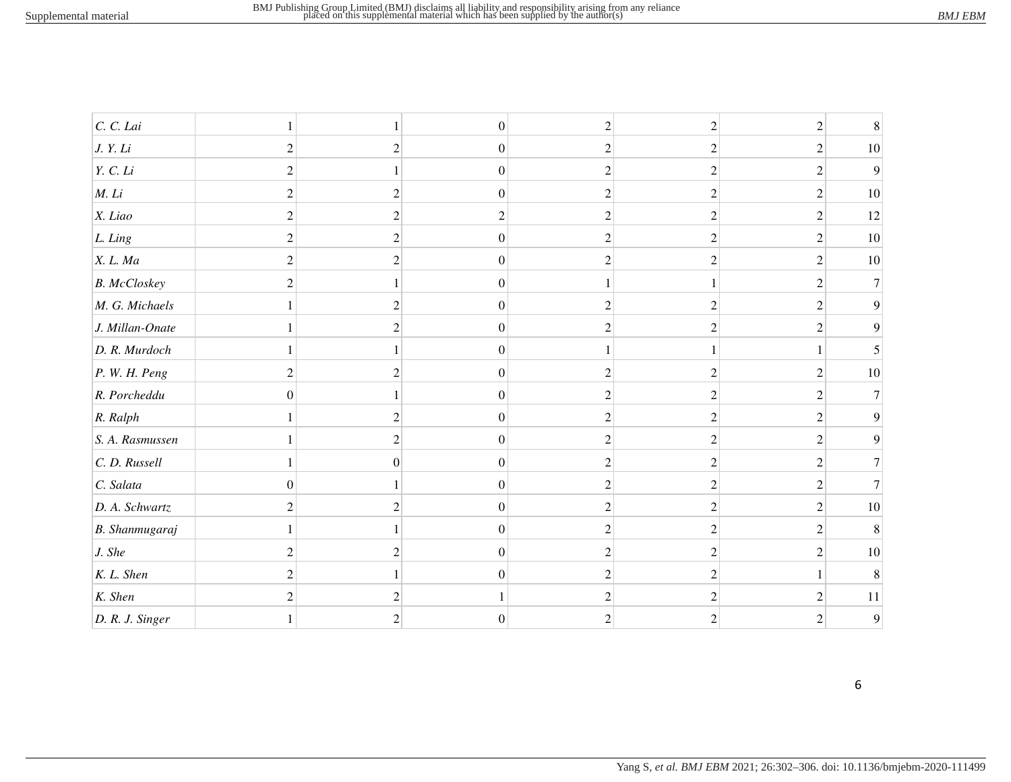| C. C. Lai           |                  |                  | $\boldsymbol{0}$ | $\overline{c}$ | $\overline{2}$ | $\mathfrak{2}$ |        |
|---------------------|------------------|------------------|------------------|----------------|----------------|----------------|--------|
| J. Y. Li            | $\overline{2}$   | $\overline{2}$   | $\boldsymbol{0}$ | 2              | 2              | 2              | 10     |
| Y. C. Li            | $\mathfrak{2}$   |                  | $\boldsymbol{0}$ | $\sqrt{2}$     | 2              | $\overline{2}$ | 9      |
| $M.$ $Li$           | $\overline{2}$   | 2                | $\boldsymbol{0}$ | $\overline{c}$ | 2              | $\overline{2}$ | $10\,$ |
| X. Liao             | $\overline{2}$   | $\mathfrak{D}$   | 2                | 2              | $\overline{c}$ | $\overline{c}$ | 12     |
| L. Ling             | $\overline{2}$   | $\overline{2}$   | $\boldsymbol{0}$ | $\mathbf{2}$   | 2              | $\overline{c}$ | 10     |
| X. L. Ma            | $\overline{c}$   | $\overline{2}$   | $\boldsymbol{0}$ | $\overline{c}$ | 2              | $\overline{c}$ | 10     |
| <b>B.</b> McCloskey | $\mathfrak{2}$   |                  | $\boldsymbol{0}$ |                |                | $\overline{2}$ |        |
| M. G. Michaels      |                  | $\overline{c}$   | $\boldsymbol{0}$ | $\overline{c}$ | 2              | $\overline{c}$ |        |
| J. Millan-Onate     |                  | 2                | $\boldsymbol{0}$ | 2              |                | $\overline{2}$ |        |
| D. R. Murdoch       | 1                |                  | $\boldsymbol{0}$ |                |                |                |        |
| P. W. H. Peng       | $\overline{2}$   | 2                | $\boldsymbol{0}$ | 2              | 2              | $\overline{2}$ | 10     |
| R. Porcheddu        | $\theta$         |                  | $\boldsymbol{0}$ | $\overline{c}$ | $\overline{2}$ | $\overline{2}$ |        |
| R. Ralph            | 1                | $\overline{c}$   | $\boldsymbol{0}$ | $\mathfrak{2}$ | $\overline{c}$ | $\mathfrak{2}$ |        |
| S. A. Rasmussen     | 1                | $\overline{c}$   | $\boldsymbol{0}$ | $\mathfrak{2}$ | 2              | $\overline{2}$ |        |
| C. D. Russell       | $\mathbf{1}$     | $\boldsymbol{0}$ | $\boldsymbol{0}$ | $\mathfrak{2}$ | 2              | $\overline{2}$ |        |
| C. Salata           | $\boldsymbol{0}$ |                  | $\mathbf{0}$     | $\overline{2}$ | 2              | $\overline{2}$ |        |
| D. A. Schwartz      | $\overline{2}$   | $\overline{2}$   | $\boldsymbol{0}$ | $\overline{c}$ | 2              | $\mathfrak{2}$ | 10     |
| B. Shanmugaraj      | 1                |                  | $\boldsymbol{0}$ | $\mathfrak{2}$ | 2              | $\overline{2}$ |        |
| J. She              | $\mathfrak{2}$   | $\overline{c}$   | $\boldsymbol{0}$ | $\overline{c}$ | 2              | 2              | 10     |
| K. L. Shen          | $\overline{2}$   |                  | $\boldsymbol{0}$ | $\mathfrak{2}$ | 2              |                |        |
| K. Shen             | $\mathfrak{2}$   | $\mathfrak{D}$   |                  | $\mathfrak{2}$ | 2              | $\overline{2}$ | 11     |
| D. R. J. Singer     |                  | $\overline{2}$   | $\overline{0}$   | $\overline{c}$ | $\overline{c}$ | $\overline{2}$ | 9      |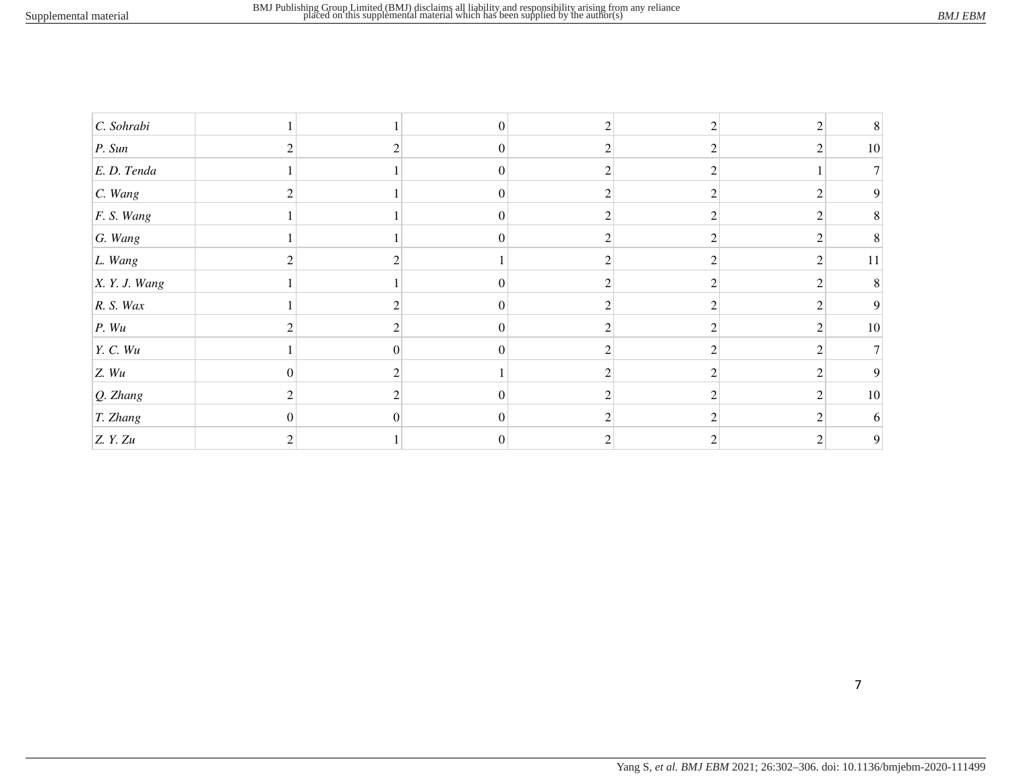| $C.$ Sohrabi  |                             |               | $\theta$         |                                                                                                                                                                 |                                                                                                                                                                 | $\mathfrak{D}$                | 8      |
|---------------|-----------------------------|---------------|------------------|-----------------------------------------------------------------------------------------------------------------------------------------------------------------|-----------------------------------------------------------------------------------------------------------------------------------------------------------------|-------------------------------|--------|
| P. Sun        |                             |               | $\boldsymbol{0}$ |                                                                                                                                                                 |                                                                                                                                                                 | 2                             | 10     |
| E. D. Tenda   |                             |               | $\Omega$         | ◠                                                                                                                                                               |                                                                                                                                                                 |                               |        |
| $C.$ Wang     |                             |               | $\overline{0}$   | 2                                                                                                                                                               | $\mathfrak{D}$                                                                                                                                                  |                               | 9      |
| F. S. Wang    |                             |               | $\Omega$         |                                                                                                                                                                 |                                                                                                                                                                 | ◠                             | 8      |
| $G.$ Wang     |                             |               | $\Omega$         |                                                                                                                                                                 | $\mathcal{D}_{\mathcal{L}}^{\mathcal{L}}(\mathcal{L})=\mathcal{L}_{\mathcal{L}}^{\mathcal{L}}(\mathcal{L})\mathcal{L}_{\mathcal{L}}^{\mathcal{L}}(\mathcal{L})$ | $\mathfrak{D}_{\mathfrak{p}}$ | 8      |
| L. Wang       |                             |               |                  |                                                                                                                                                                 | ◠                                                                                                                                                               | $\mathfrak{D}$                | $11\,$ |
| X. Y. J. Wang |                             |               | $\theta$         | $\mathcal{D}$                                                                                                                                                   | $\overline{c}$                                                                                                                                                  | $\overline{2}$                | 8      |
| R. S. Wax     |                             |               | $\Omega$         |                                                                                                                                                                 | ◠                                                                                                                                                               | ◠                             | 9      |
| P. Wu         | $\mathcal{D}_{\mathcal{L}}$ | $\mathcal{D}$ | $\overline{0}$   | $\mathcal{D}$                                                                                                                                                   | $\overline{c}$                                                                                                                                                  | 2                             | 10     |
| Y. C. Wu      |                             |               | $\Omega$         |                                                                                                                                                                 |                                                                                                                                                                 | ◠                             |        |
| Z. Wu         | $\theta$                    | 2             |                  | 2                                                                                                                                                               | $\overline{c}$                                                                                                                                                  | 2                             | 9      |
| $Q.$ Zhang    |                             |               | $\Omega$         |                                                                                                                                                                 |                                                                                                                                                                 | $\mathcal{D}$                 | 10     |
| T. Zhang      | $\theta$                    | $\theta$      | $\overline{0}$   | $\mathcal{D}_{\mathcal{L}}^{\mathcal{L}}(\mathcal{L})=\mathcal{L}_{\mathcal{L}}^{\mathcal{L}}(\mathcal{L})\mathcal{L}_{\mathcal{L}}^{\mathcal{L}}(\mathcal{L})$ | $\mathcal{D}_{\mathcal{L}}^{\mathcal{L}}(\mathcal{L})=\mathcal{L}_{\mathcal{L}}^{\mathcal{L}}(\mathcal{L})\mathcal{L}_{\mathcal{L}}^{\mathcal{L}}(\mathcal{L})$ | $\overline{c}$                | 6      |
| Z. Y. Zu      |                             |               |                  |                                                                                                                                                                 |                                                                                                                                                                 |                               | 9      |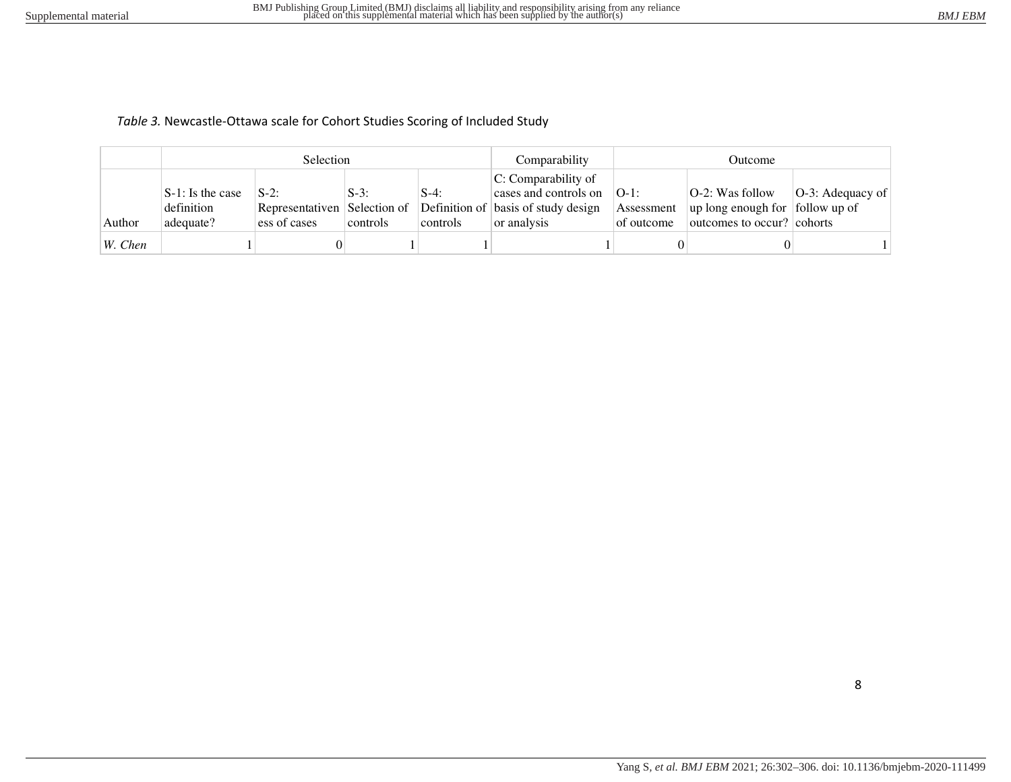## *Table 3.* Newcastle-Ottawa scale for Cohort Studies Scoring of Included Study

|           |                                                | <b>Selection</b>                 |                     |                     | Comparability                                                                                                                      | Outcome                               |                                                                                                      |                      |  |
|-----------|------------------------------------------------|----------------------------------|---------------------|---------------------|------------------------------------------------------------------------------------------------------------------------------------|---------------------------------------|------------------------------------------------------------------------------------------------------|----------------------|--|
| Author    | $S-1$ : Is the case<br>definition<br>adequate? | $\mathbf{S}$ -2:<br>ess of cases | $S-3$ :<br>controls | $S-4$ :<br>controls | $ C:$ Comparability of<br>cases and controls on<br>Representativen Selection of Definition of basis of study design<br>or analysis | $[O-1]$ :<br>Assessment<br>of outcome | $ O-2$ : Was follow<br>$\vert$ up long enough for $\vert$ follow up of<br>outcomes to occur? cohorts | $ O-3$ : Adequacy of |  |
| $W.$ Chen |                                                |                                  |                     |                     |                                                                                                                                    |                                       |                                                                                                      |                      |  |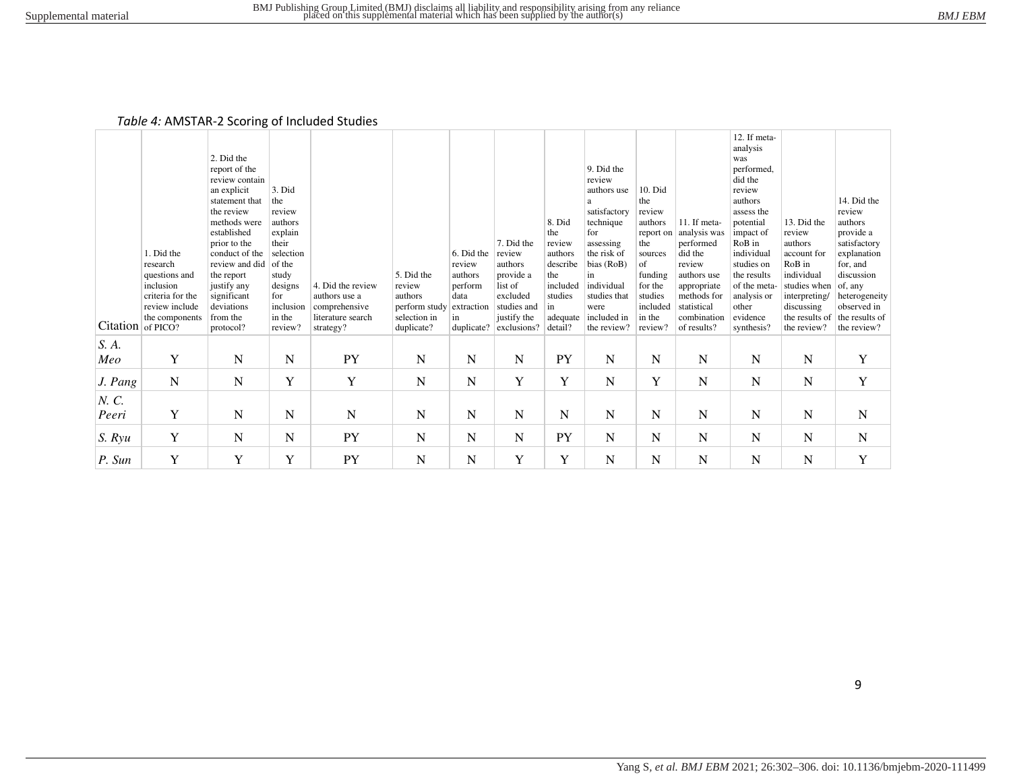#### *Table 4:* AMSTAR-2 Scoring of Included Studies

|                 |                                    |                            |                   |                                |                          |                    |                         |               |                           |                     |                            | 12. If meta-            |                             |                              |
|-----------------|------------------------------------|----------------------------|-------------------|--------------------------------|--------------------------|--------------------|-------------------------|---------------|---------------------------|---------------------|----------------------------|-------------------------|-----------------------------|------------------------------|
|                 |                                    | 2. Did the                 |                   |                                |                          |                    |                         |               |                           |                     |                            | analysis<br>was         |                             |                              |
|                 |                                    | report of the              |                   |                                |                          |                    |                         |               | 9. Did the                |                     |                            | performed,              |                             |                              |
|                 |                                    | review contain             |                   |                                |                          |                    |                         |               | review                    |                     |                            | did the                 |                             |                              |
|                 |                                    | an explicit                | 3. Did            |                                |                          |                    |                         |               | authors use               | $10.$ Did           |                            | review                  |                             |                              |
|                 |                                    | statement that             | the               |                                |                          |                    |                         |               |                           | the                 |                            | authors                 |                             | 14. Did the                  |
|                 |                                    | the review<br>methods were | review<br>authors |                                |                          |                    |                         | 8. Did        | satisfactory<br>technique | review<br>authors   | 11. If meta-               | assess the<br>potential | 13. Did the                 | review<br>authors            |
|                 |                                    | established                | explain           |                                |                          |                    |                         | the           | for                       | report on           | analysis was               | impact of               | review                      | provide a                    |
|                 |                                    | prior to the               | their             |                                |                          |                    | 7. Did the              | review        | assessing                 | the                 | performed                  | RoB in                  | authors                     | satisfactory                 |
|                 | 1. Did the                         | conduct of the             | selection         |                                |                          | 6. Did the         | review                  | authors       | the risk of               | sources             | did the                    | individual              | account for                 | explanation                  |
|                 | research                           | review and did             | of the            |                                |                          | review             | authors                 | describe      | bias (RoB)                | of                  | review                     | studies on              | RoB in                      | for, and                     |
|                 | questions and                      | the report                 | study             |                                | 5. Did the               | authors            | provide a               | the           | in                        | funding             | authors use                | the results             | individual                  | discussion                   |
|                 | inclusion                          | justify any                | designs           | 4. Did the review              | review                   | perform            | list of                 | included      | individual                | for the             | appropriate                | of the meta-            | studies when                | of, any                      |
|                 | criteria for the<br>review include | significant<br>deviations  | for<br>inclusion  | authors use a<br>comprehensive | authors<br>perform study | data<br>extraction | excluded<br>studies and | studies<br>in | studies that<br>were      | studies<br>included | methods for<br>statistical | analysis or<br>other    | interpreting/<br>discussing | heterogeneity<br>observed in |
|                 | the components                     | from the                   | in the            | literature search              | selection in             | 1n                 | justify the             | adequate      | included in               | in the              | combination                | evidence                | the results of              | the results of               |
| <b>Citation</b> | of PICO?                           | protocol?                  | review?           | strategy?                      | duplicate?               | duplicate?         | exclusions?             | detail?       | the review?               | review?             | of results?                | synthesis?              | the review?                 | the review?                  |
| S. A.           |                                    |                            |                   |                                |                          |                    |                         |               |                           |                     |                            |                         |                             |                              |
| Meo             | Y                                  | N                          | N                 | <b>PY</b>                      | N                        | N                  | N                       | PY            | N                         | N                   | N                          | N                       | N                           | Y                            |
|                 |                                    |                            |                   |                                |                          |                    |                         |               |                           |                     |                            |                         |                             |                              |
| J. Pang         | $\mathbf N$                        | $\mathbf N$                | Y                 | Y                              | $\mathbf N$              | $\mathbf N$        | Y                       | Y             | N                         | Y                   | N                          | $\mathbf N$             | N                           | Y                            |
| N. C.           |                                    |                            |                   |                                |                          |                    |                         |               |                           |                     |                            |                         |                             |                              |
| Peeri           | Y                                  | N                          | N                 | N                              | N                        | N                  | N                       | N             | N                         | N                   | N                          | $\mathbf N$             | N                           | N                            |
|                 |                                    |                            |                   |                                |                          |                    |                         |               |                           |                     |                            |                         |                             |                              |
| S. Ryu          | Y                                  | N                          | N                 | <b>PY</b>                      | N                        | N                  | N                       | PY            | $\mathbf N$               | N                   | N                          | N                       | N                           | N                            |
| P. Sun          | Y                                  | Y                          | Y                 | PY                             | N                        | N                  | Y                       | Y             | N                         | N                   | N                          | N                       | N                           | Y                            |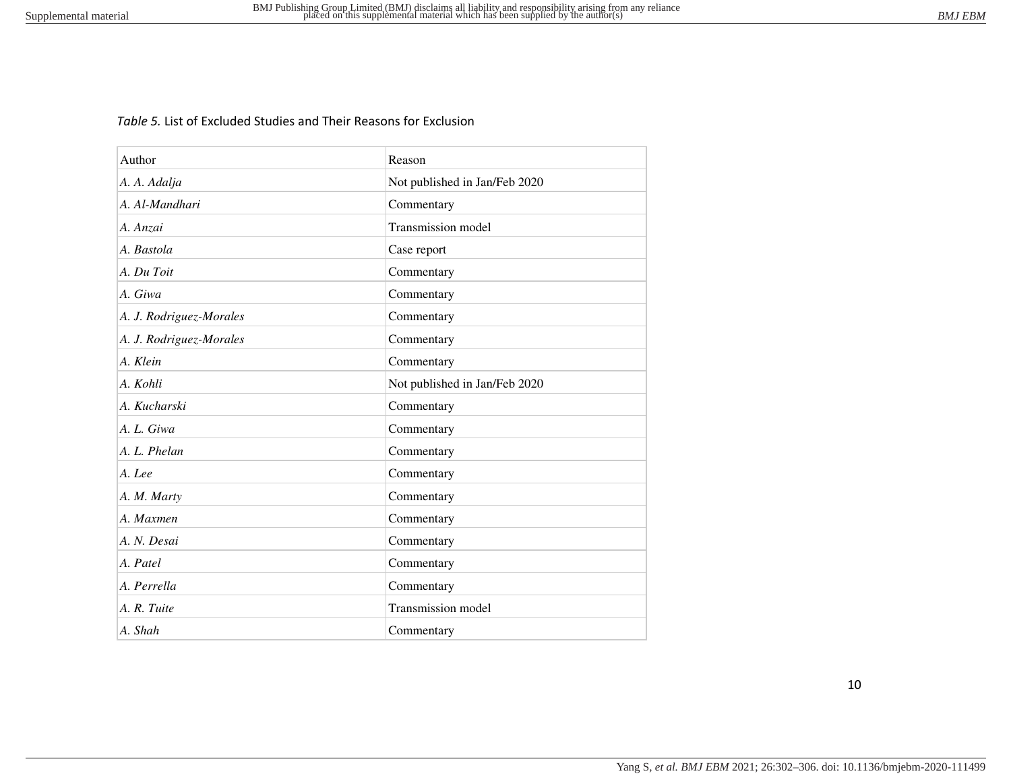# *Table 5.* List of Excluded Studies and Their Reasons for Exclusion

| Author                  | Reason                        |
|-------------------------|-------------------------------|
| A. A. Adalja            | Not published in Jan/Feb 2020 |
| A. Al-Mandhari          | Commentary                    |
| A. Anzai                | Transmission model            |
| A. Bastola              | Case report                   |
| A. Du Toit              | Commentary                    |
| A. Giwa                 | Commentary                    |
| A. J. Rodriguez-Morales | Commentary                    |
| A. J. Rodriguez-Morales | Commentary                    |
| A. Klein                | Commentary                    |
| A. Kohli                | Not published in Jan/Feb 2020 |
| A. Kucharski            | Commentary                    |
| A. L. Giwa              | Commentary                    |
| A. L. Phelan            | Commentary                    |
| A. Lee                  | Commentary                    |
| A. M. Marty             | Commentary                    |
| A. Maxmen               | Commentary                    |
| A. N. Desai             | Commentary                    |
| A. Patel                | Commentary                    |
| A. Perrella             | Commentary                    |
| A. R. Tuite             | Transmission model            |
| A. Shah                 | Commentary                    |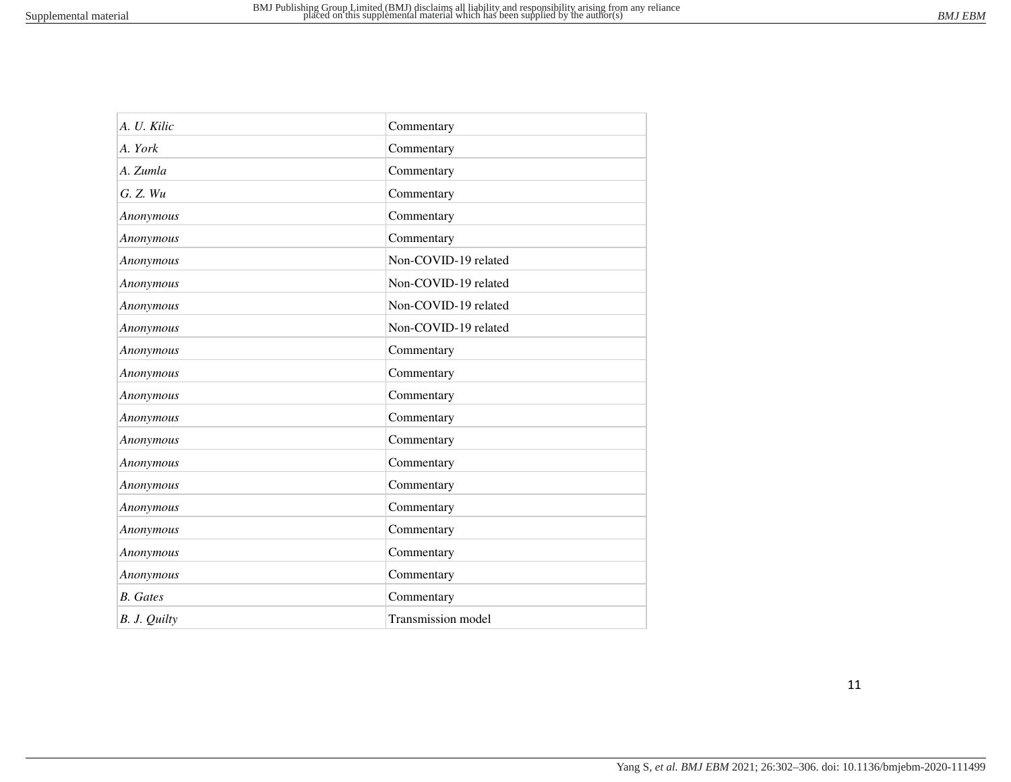| A. U. Kilic     | Commentary           |
|-----------------|----------------------|
| A. York         | Commentary           |
| A. Zumla        | Commentary           |
| G. Z. Wu        | Commentary           |
| Anonymous       | Commentary           |
| Anonymous       | Commentary           |
| Anonymous       | Non-COVID-19 related |
| Anonymous       | Non-COVID-19 related |
| Anonymous       | Non-COVID-19 related |
| Anonymous       | Non-COVID-19 related |
| Anonymous       | Commentary           |
| Anonymous       | Commentary           |
| Anonymous       | Commentary           |
| Anonymous       | Commentary           |
| Anonymous       | Commentary           |
| Anonymous       | Commentary           |
| Anonymous       | Commentary           |
| Anonymous       | Commentary           |
| Anonymous       | Commentary           |
| Anonymous       | Commentary           |
| Anonymous       | Commentary           |
| <b>B.</b> Gates | Commentary           |
| B. J. Quilty    | Transmission model   |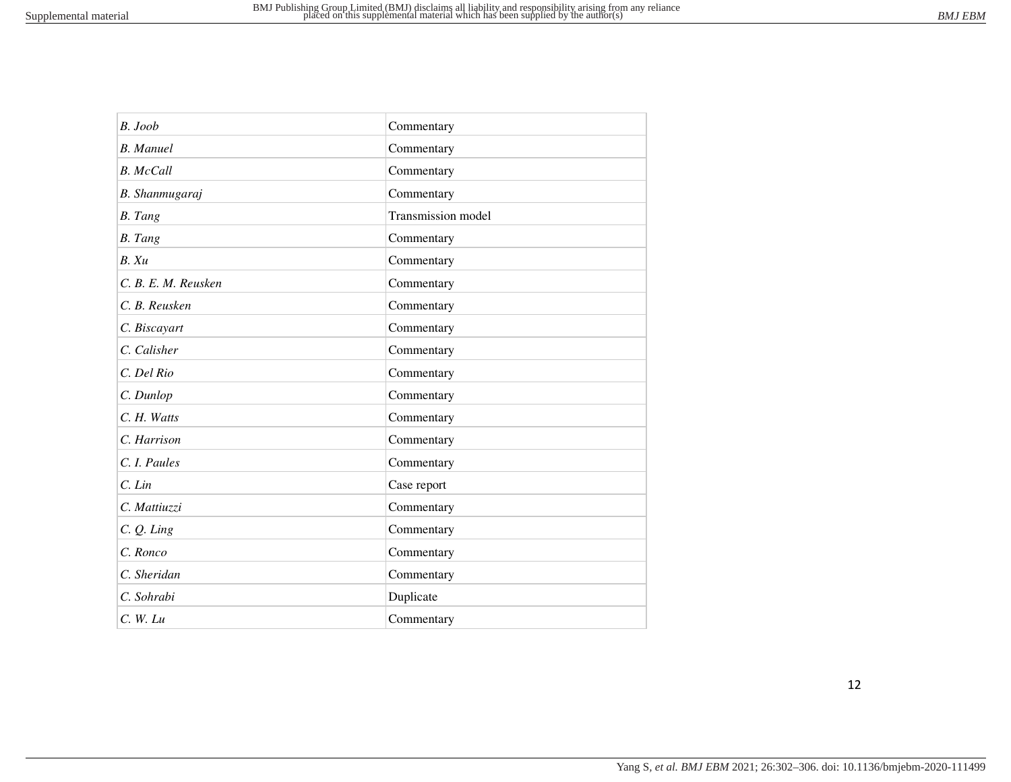| $B.$ Joob           | Commentary         |
|---------------------|--------------------|
| <b>B.</b> Manuel    | Commentary         |
| <b>B.</b> McCall    | Commentary         |
| B. Shanmugaraj      | Commentary         |
| <b>B.</b> Tang      | Transmission model |
| <b>B.</b> Tang      | Commentary         |
| B. Xu               | Commentary         |
| C. B. E. M. Reusken | Commentary         |
| C. B. Reusken       | Commentary         |
| C. Biscayart        | Commentary         |
| C. Calisher         | Commentary         |
| C. Del Rio          | Commentary         |
| C. Dunlop           | Commentary         |
| C. H. Watts         | Commentary         |
| C. Harrison         | Commentary         |
| C. I. Paules        | Commentary         |
| $C.$ Lin            | Case report        |
| C. Mattiuzzi        | Commentary         |
| $C. Q.$ Ling        | Commentary         |
| C. Ronco            | Commentary         |
| C. Sheridan         | Commentary         |
| C. Sohrabi          | Duplicate          |
| $C.$ W. Lu          | Commentary         |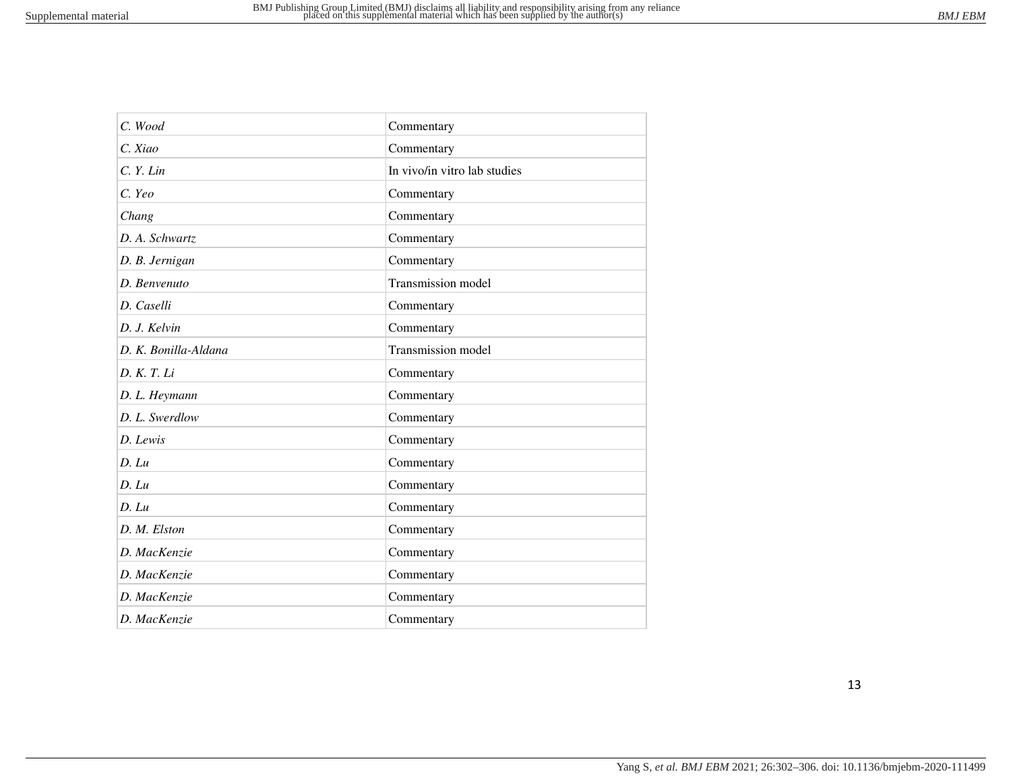| C. Wood              | Commentary                   |
|----------------------|------------------------------|
| C. Xiao              | Commentary                   |
| C. Y. Lin            | In vivo/in vitro lab studies |
| C. Yeo               | Commentary                   |
| Chang                | Commentary                   |
| D. A. Schwartz       | Commentary                   |
| D. B. Jernigan       | Commentary                   |
| D. Benvenuto         | Transmission model           |
| D. Caselli           | Commentary                   |
| D. J. Kelvin         | Commentary                   |
| D. K. Bonilla-Aldana | Transmission model           |
| D. K. T. Li          | Commentary                   |
| D. L. Heymann        | Commentary                   |
| D. L. Swerdlow       | Commentary                   |
| D. Lewis             | Commentary                   |
| $D.$ $Lu$            | Commentary                   |
| D. Lu                | Commentary                   |
| $D.$ $Lu$            | Commentary                   |
| D. M. Elston         | Commentary                   |
| D. MacKenzie         | Commentary                   |
| D. MacKenzie         | Commentary                   |
| D. MacKenzie         | Commentary                   |
| D. MacKenzie         | Commentary                   |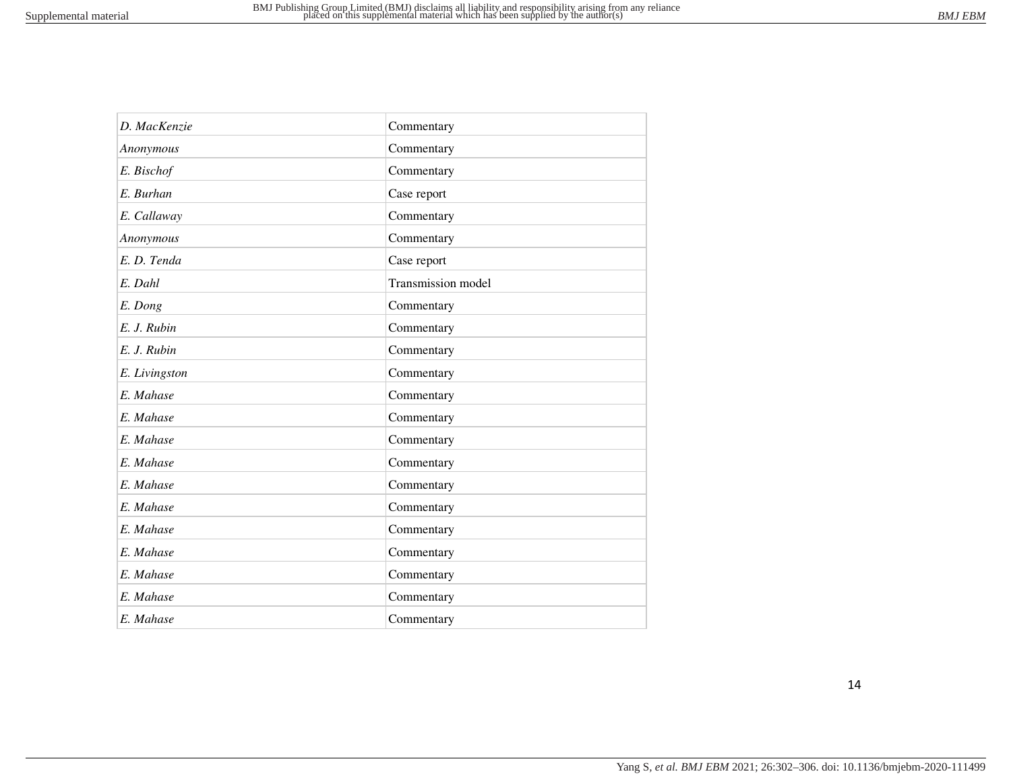| D. MacKenzie  | Commentary         |
|---------------|--------------------|
| Anonymous     | Commentary         |
| E. Bischof    | Commentary         |
| E. Burhan     | Case report        |
| E. Callaway   | Commentary         |
| Anonymous     | Commentary         |
| E.D. Tenda    | Case report        |
| E. Dahl       | Transmission model |
| E. Dong       | Commentary         |
| E. J. Rubin   | Commentary         |
| E. J. Rubin   | Commentary         |
| E. Livingston | Commentary         |
| E. Mahase     | Commentary         |
| E. Mahase     | Commentary         |
| E. Mahase     | Commentary         |
| E. Mahase     | Commentary         |
| E. Mahase     | Commentary         |
| E. Mahase     | Commentary         |
| E. Mahase     | Commentary         |
| E. Mahase     | Commentary         |
| E. Mahase     | Commentary         |
| E. Mahase     | Commentary         |
| E. Mahase     | Commentary         |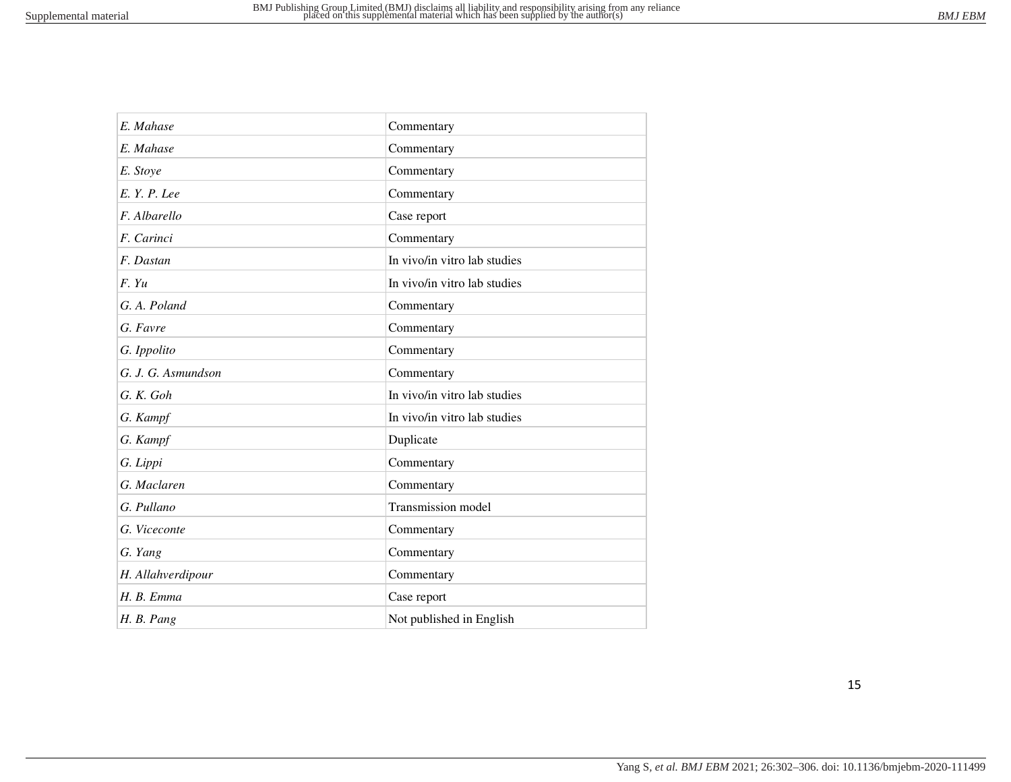| E. Mahase          | Commentary                   |
|--------------------|------------------------------|
| E. Mahase          | Commentary                   |
| E. Stoye           | Commentary                   |
| E. Y. P. Lee       | Commentary                   |
| F. Albarello       | Case report                  |
| F. Carinci         | Commentary                   |
| F. Dastan          | In vivo/in vitro lab studies |
| F. Yu              | In vivo/in vitro lab studies |
| G. A. Poland       | Commentary                   |
| G. Favre           | Commentary                   |
| G. Ippolito        | Commentary                   |
| G. J. G. Asmundson | Commentary                   |
| G.K. Goh           | In vivo/in vitro lab studies |
| G. Kampf           | In vivo/in vitro lab studies |
| G. Kampf           | Duplicate                    |
| G. Lippi           | Commentary                   |
| G. Maclaren        | Commentary                   |
| G. Pullano         | Transmission model           |
| G. Viceconte       | Commentary                   |
| G. Yang            | Commentary                   |
| H. Allahverdipour  | Commentary                   |
| H. B. Emma         | Case report                  |
| H. B. Pang         | Not published in English     |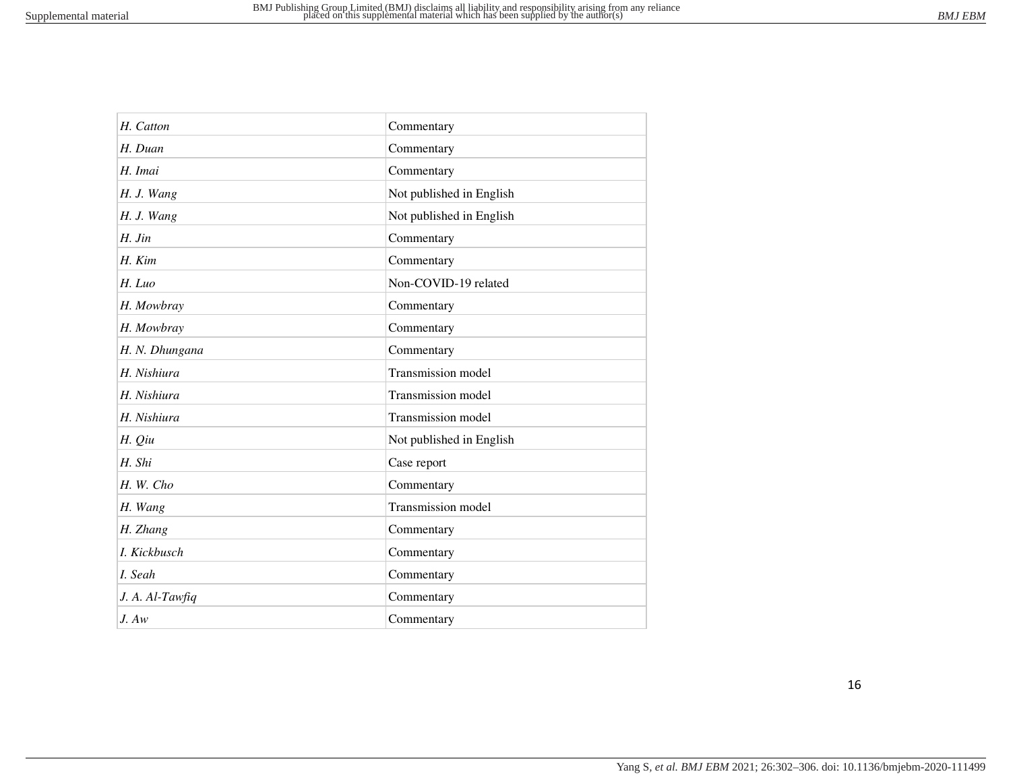| H. Catton       | Commentary               |
|-----------------|--------------------------|
| H. Duan         | Commentary               |
| H. Imai         | Commentary               |
| H. J. Wang      | Not published in English |
| H. J. Wang      | Not published in English |
| $H.$ Jin        | Commentary               |
| $H.$ $Kim$      | Commentary               |
| H. Luo          | Non-COVID-19 related     |
| H. Mowbray      | Commentary               |
| H. Mowbray      | Commentary               |
| H. N. Dhungana  | Commentary               |
| H. Nishiura     | Transmission model       |
| H. Nishiura     | Transmission model       |
| H. Nishiura     | Transmission model       |
| H. Qiu          | Not published in English |
| H. Shi          | Case report              |
| H. W. Cho       | Commentary               |
| H. Wang         | Transmission model       |
| H. Zhang        | Commentary               |
| I. Kickbusch    | Commentary               |
| I. Seah         | Commentary               |
| J. A. Al-Tawfiq | Commentary               |
| J. Aw           | Commentary               |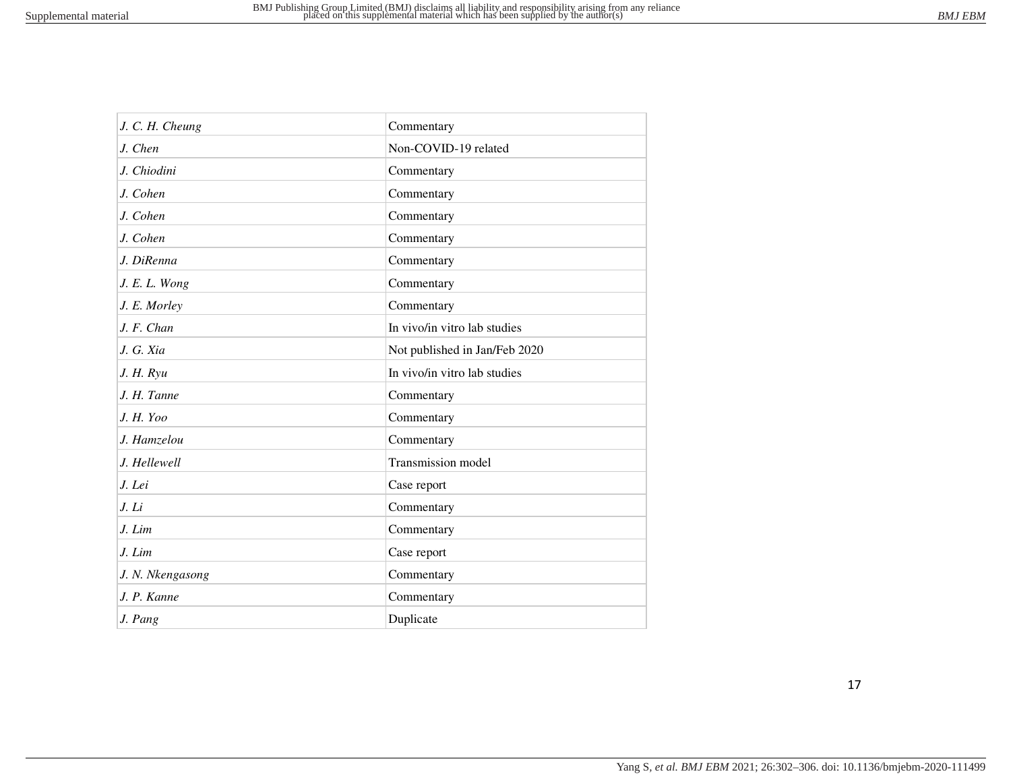| J. C. H. Cheung  | Commentary                    |
|------------------|-------------------------------|
| J. Chen          | Non-COVID-19 related          |
| J. Chiodini      | Commentary                    |
| J. Cohen         | Commentary                    |
| J. Cohen         | Commentary                    |
| J. Cohen         | Commentary                    |
| J. DiRenna       | Commentary                    |
| J. E. L. Wong    | Commentary                    |
| J. E. Morley     | Commentary                    |
| J. F. Chan       | In vivo/in vitro lab studies  |
| J. G. Xia        | Not published in Jan/Feb 2020 |
| J. H. Ryu        | In vivo/in vitro lab studies  |
| J. H. Tanne      | Commentary                    |
| J. H. Yoo        | Commentary                    |
| J. Hamzelou      | Commentary                    |
| J. Hellewell     | Transmission model            |
| J. Lei           | Case report                   |
| J. Li            | Commentary                    |
| J. Lim           | Commentary                    |
| J. Lim           | Case report                   |
| J. N. Nkengasong | Commentary                    |
| J. P. Kanne      | Commentary                    |
| J. Pang          | Duplicate                     |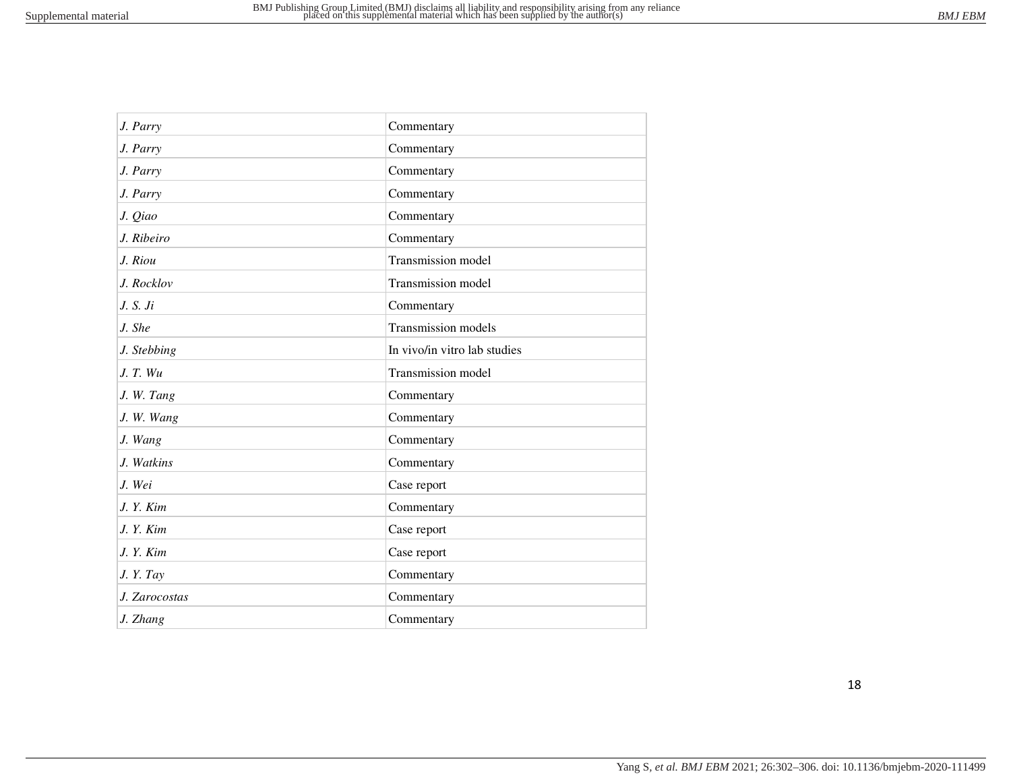| J. Parry      | Commentary                   |
|---------------|------------------------------|
| J. Parry      | Commentary                   |
| J. Parry      | Commentary                   |
| J. Parry      | Commentary                   |
| J. Qiao       | Commentary                   |
| J. Ribeiro    | Commentary                   |
| J. Riou       | Transmission model           |
| J. Rocklov    | Transmission model           |
| J. S. Ji      | Commentary                   |
| J. She        | Transmission models          |
| J. Stebbing   | In vivo/in vitro lab studies |
| J. T. Wu      | Transmission model           |
| J. W. Tang    | Commentary                   |
| J. W. Wang    | Commentary                   |
| J. Wang       | Commentary                   |
| J. Watkins    | Commentary                   |
| J. Wei        | Case report                  |
| J. Y. Kim     | Commentary                   |
| J.Y. Kim      | Case report                  |
| J. Y. Kim     | Case report                  |
| J. Y. Tay     | Commentary                   |
| J. Zarocostas | Commentary                   |
| J. Zhang      | Commentary                   |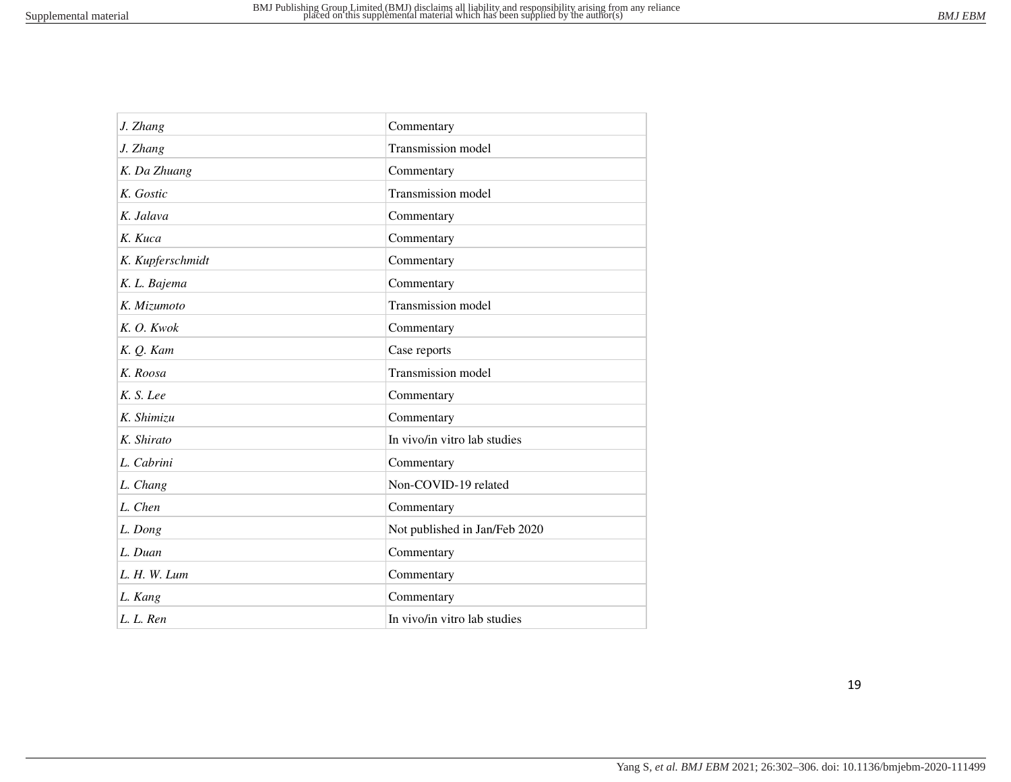| J. Zhang         | Commentary                    |
|------------------|-------------------------------|
| J. Zhang         | Transmission model            |
| K. Da Zhuang     | Commentary                    |
| K. Gostic        | Transmission model            |
| K. Jalava        | Commentary                    |
| K. Kuca          | Commentary                    |
| K. Kupferschmidt | Commentary                    |
| K. L. Bajema     | Commentary                    |
| K. Mizumoto      | Transmission model            |
| K. O. Kwok       | Commentary                    |
| K. Q. Kam        | Case reports                  |
| K. Roosa         | Transmission model            |
| K. S. Lee        | Commentary                    |
| K. Shimizu       | Commentary                    |
| K. Shirato       | In vivo/in vitro lab studies  |
| L. Cabrini       | Commentary                    |
| L. Chang         | Non-COVID-19 related          |
| L. Chen          | Commentary                    |
| L. Dong          | Not published in Jan/Feb 2020 |
| L. Duan          | Commentary                    |
| L. H. W. Lum     | Commentary                    |
| L. Kang          | Commentary                    |
| L. L. Ren        | In vivo/in vitro lab studies  |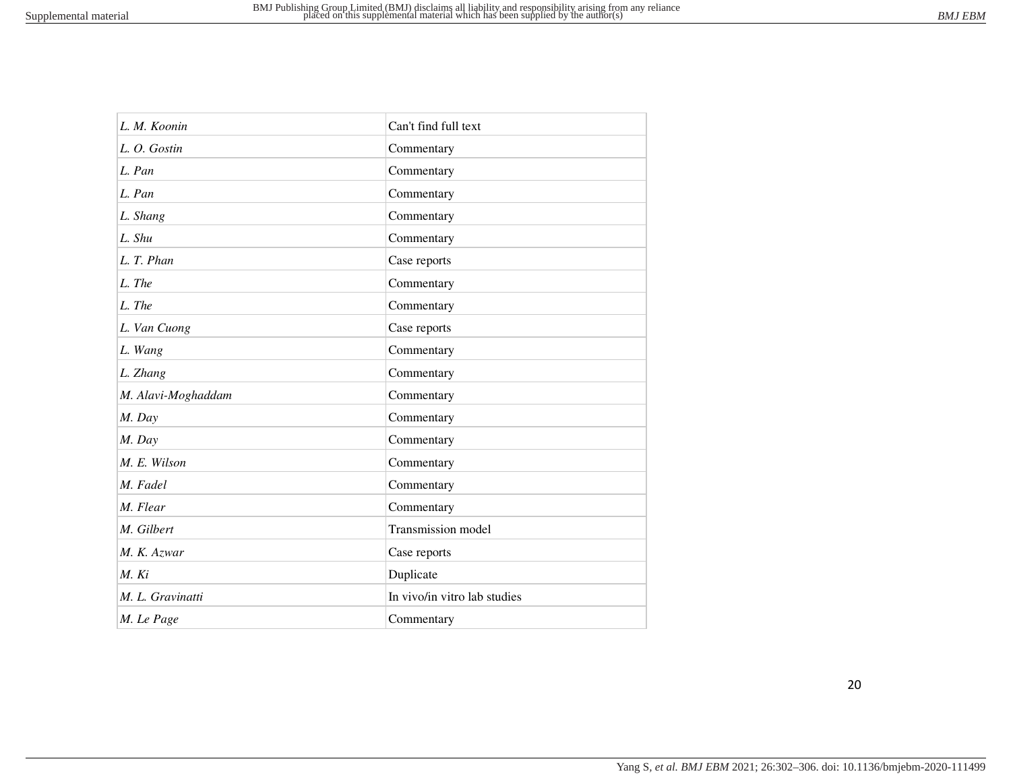| L. M. Koonin       | Can't find full text         |
|--------------------|------------------------------|
| L. O. Gostin       | Commentary                   |
| L. Pan             | Commentary                   |
| L. Pan             | Commentary                   |
| L. Shang           | Commentary                   |
| L. Shu             | Commentary                   |
| L. T. Phan         | Case reports                 |
| L. The             | Commentary                   |
| L. The             | Commentary                   |
| L. Van Cuong       | Case reports                 |
| L. Wang            | Commentary                   |
| L. Zhang           | Commentary                   |
| M. Alavi-Moghaddam | Commentary                   |
| M. Day             | Commentary                   |
| M. Day             | Commentary                   |
| M. E. Wilson       | Commentary                   |
| M. Fadel           | Commentary                   |
| M. Flear           | Commentary                   |
| M. Gilbert         | Transmission model           |
| M. K. Azwar        | Case reports                 |
| M. Ki              | Duplicate                    |
| M. L. Gravinatti   | In vivo/in vitro lab studies |
| M. Le Page         | Commentary                   |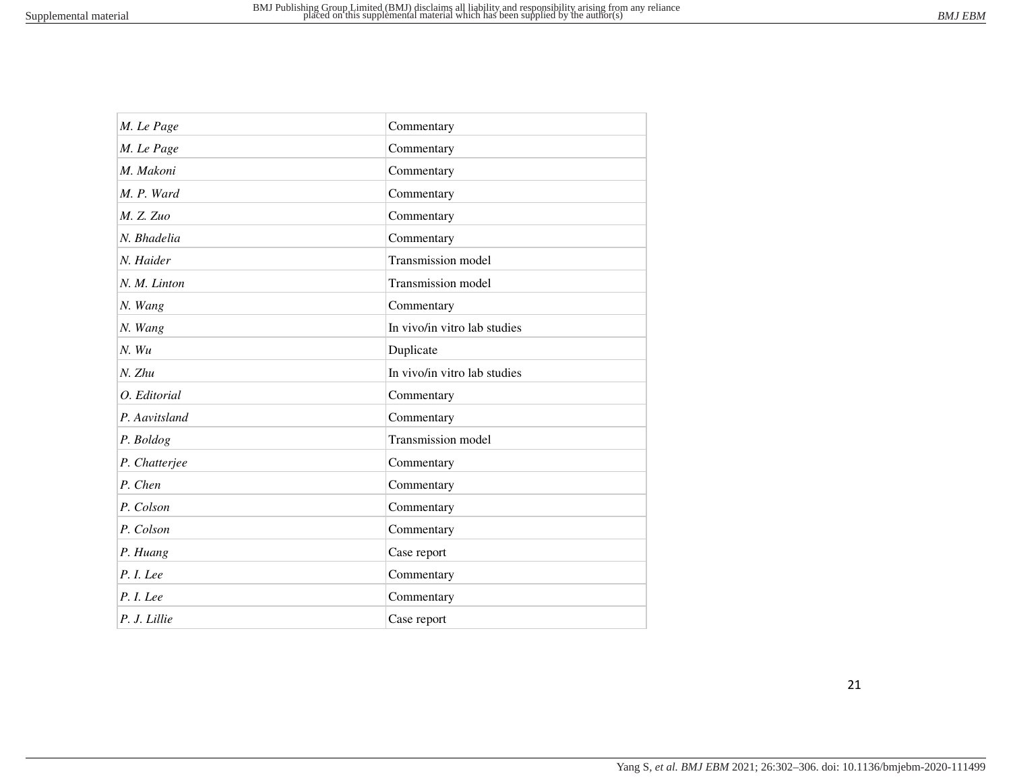| M. Le Page    | Commentary                   |
|---------------|------------------------------|
| M. Le Page    | Commentary                   |
| M. Makoni     | Commentary                   |
| M. P. Ward    | Commentary                   |
| M. Z. Zuo     | Commentary                   |
| N. Bhadelia   | Commentary                   |
| N. Haider     | Transmission model           |
| N. M. Linton  | Transmission model           |
| N. Wang       | Commentary                   |
| N. Wang       | In vivo/in vitro lab studies |
| $N.$ Wu       | Duplicate                    |
| N. Zhu        | In vivo/in vitro lab studies |
| O. Editorial  | Commentary                   |
| P. Aavitsland | Commentary                   |
| P. Boldog     | Transmission model           |
| P. Chatterjee | Commentary                   |
| P. Chen       | Commentary                   |
| P. Colson     | Commentary                   |
| P. Colson     | Commentary                   |
| P. Huang      | Case report                  |
| P. I. Lee     | Commentary                   |
| P. I. Lee     | Commentary                   |
| P. J. Lillie  | Case report                  |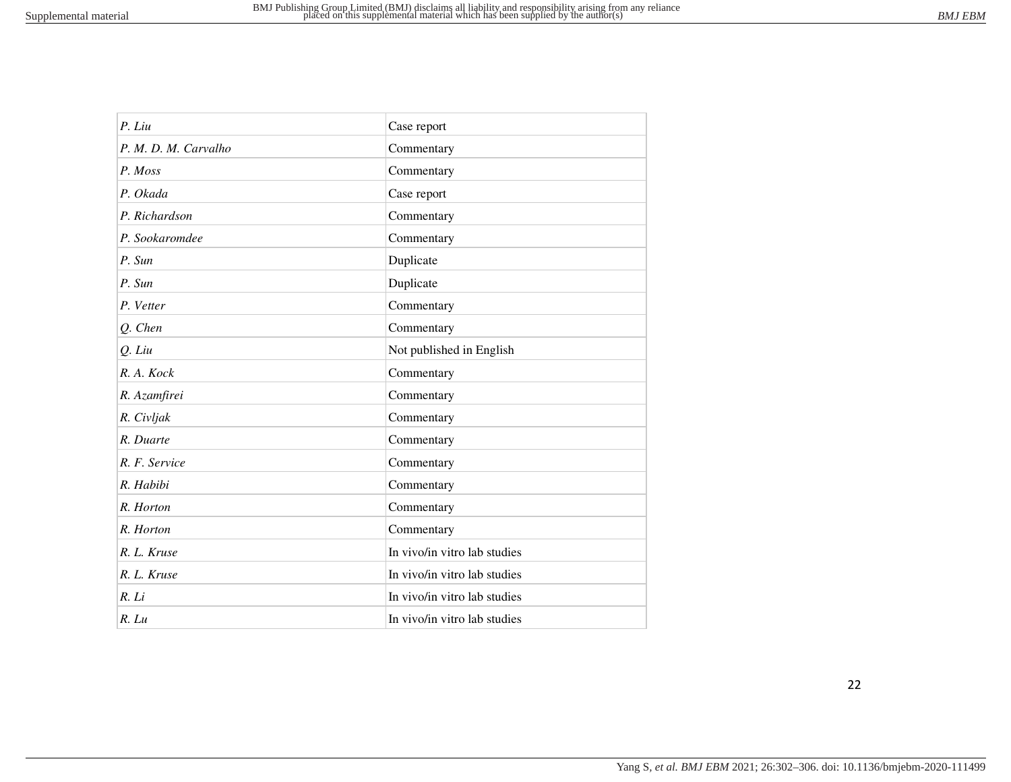| P. Liu               | Case report                  |
|----------------------|------------------------------|
| P. M. D. M. Carvalho | Commentary                   |
| P. Moss              | Commentary                   |
| P. Okada             | Case report                  |
| P. Richardson        | Commentary                   |
| P. Sookaromdee       | Commentary                   |
| P. Sun               | Duplicate                    |
| P. Sun               | Duplicate                    |
| P. Vetter            | Commentary                   |
| Q. Chen              | Commentary                   |
| Q. Liu               | Not published in English     |
| R. A. Kock           | Commentary                   |
| R. Azamfirei         | Commentary                   |
| R. Civljak           | Commentary                   |
| R. Duarte            | Commentary                   |
| R. F. Service        | Commentary                   |
| R. Habibi            | Commentary                   |
| R. Horton            | Commentary                   |
| R. Horton            | Commentary                   |
| R. L. Kruse          | In vivo/in vitro lab studies |
| R. L. Kruse          | In vivo/in vitro lab studies |
| R. Li                | In vivo/in vitro lab studies |
| $R.$ $Lu$            | In vivo/in vitro lab studies |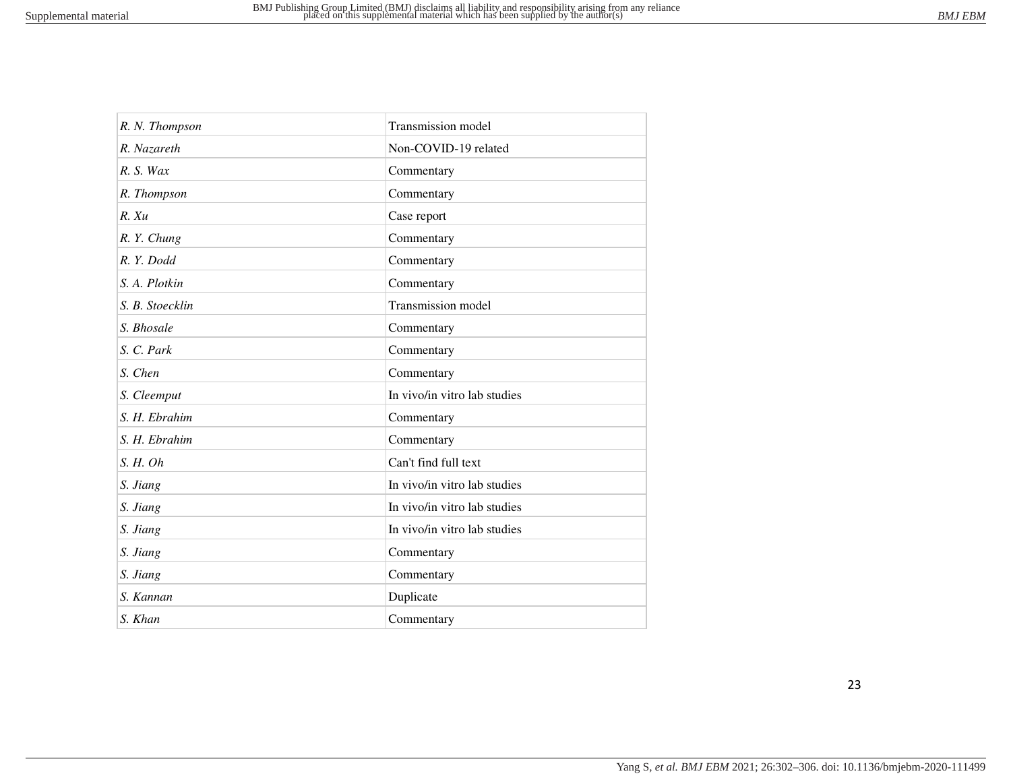| R. N. Thompson  | Transmission model           |
|-----------------|------------------------------|
| R. Nazareth     | Non-COVID-19 related         |
| R. S. Wax       | Commentary                   |
| R. Thompson     | Commentary                   |
| $R$ . $Xu$      | Case report                  |
| R.Y. Chung      | Commentary                   |
| R.Y. Dodd       | Commentary                   |
| S. A. Plotkin   | Commentary                   |
| S. B. Stoecklin | Transmission model           |
| S. Bhosale      | Commentary                   |
| S. C. Park      | Commentary                   |
| S. Chen         | Commentary                   |
| S. Cleemput     | In vivo/in vitro lab studies |
| S. H. Ebrahim   | Commentary                   |
| S. H. Ebrahim   | Commentary                   |
| S. H. Oh        | Can't find full text         |
| S. Jiang        | In vivo/in vitro lab studies |
| S. Jiang        | In vivo/in vitro lab studies |
| S. Jiang        | In vivo/in vitro lab studies |
| S. Jiang        | Commentary                   |
| S. Jiang        | Commentary                   |
| S. Kannan       | Duplicate                    |
| S. Khan         | Commentary                   |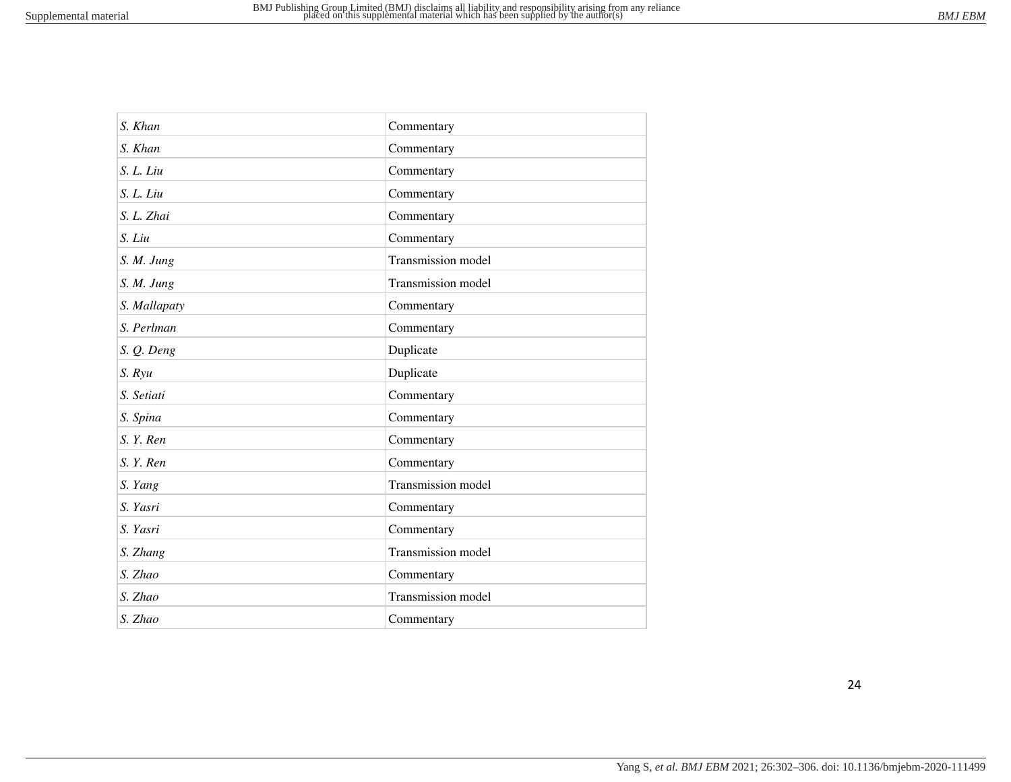| S. Khan      | Commentary         |
|--------------|--------------------|
| S. Khan      | Commentary         |
| S. L. Liu    | Commentary         |
| S. L. Liu    | Commentary         |
| S. L. Zhai   | Commentary         |
| S. Liu       | Commentary         |
| S. M. Jung   | Transmission model |
| S. M. Jung   | Transmission model |
| S. Mallapaty | Commentary         |
| S. Perlman   | Commentary         |
| S. Q. Deng   | Duplicate          |
| S. Ryu       | Duplicate          |
| S. Setiati   | Commentary         |
| S. Spina     | Commentary         |
| S. Y. Ren    | Commentary         |
| S. Y. Ren    | Commentary         |
| S. Yang      | Transmission model |
| S. Yasri     | Commentary         |
| S. Yasri     | Commentary         |
| S. Zhang     | Transmission model |
| S. Zhao      | Commentary         |
| S. Zhao      | Transmission model |
| S. Zhao      | Commentary         |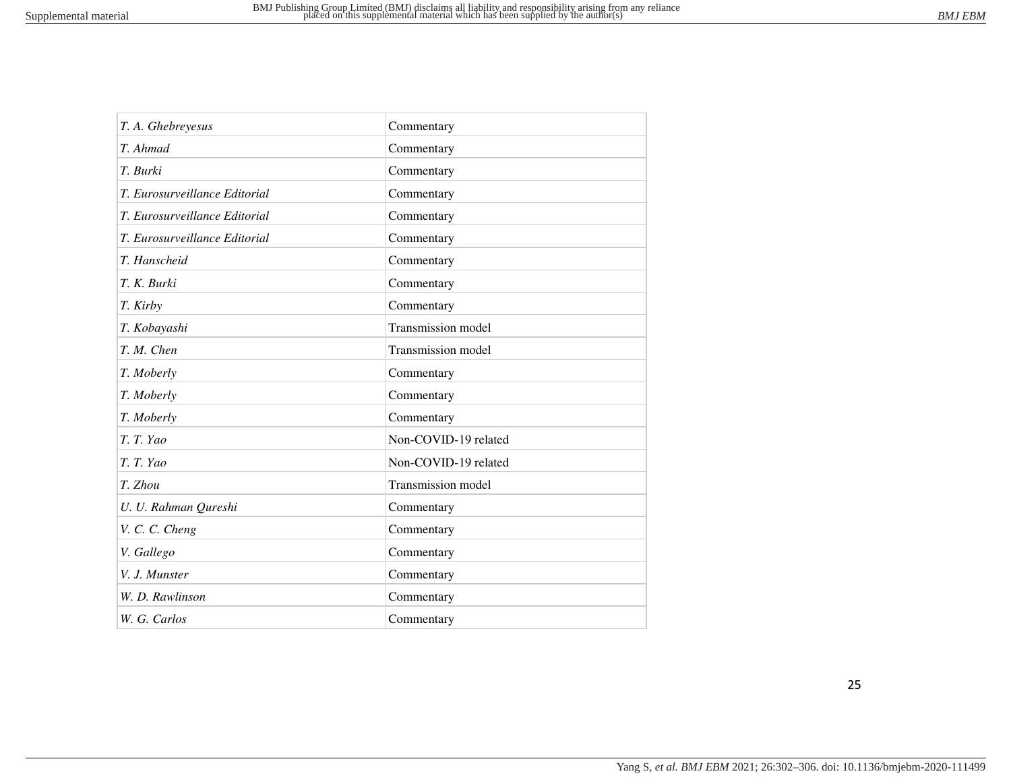| T. A. Ghebreyesus             | Commentary           |
|-------------------------------|----------------------|
| T. Ahmad                      | Commentary           |
| T. Burki                      | Commentary           |
| T. Eurosurveillance Editorial | Commentary           |
| T. Eurosurveillance Editorial | Commentary           |
| T. Eurosurveillance Editorial | Commentary           |
| T. Hanscheid                  | Commentary           |
| T. K. Burki                   | Commentary           |
| T. Kirby                      | Commentary           |
| T. Kobayashi                  | Transmission model   |
| T. M. Chen                    | Transmission model   |
| T. Moberly                    | Commentary           |
| T. Moberly                    | Commentary           |
| T. Moberly                    | Commentary           |
| T. T. Yao                     | Non-COVID-19 related |
| T. T. Yao                     | Non-COVID-19 related |
| T. Zhou                       | Transmission model   |
| U. U. Rahman Qureshi          | Commentary           |
| V. C. C. Cheng                | Commentary           |
| V. Gallego                    | Commentary           |
| V. J. Munster                 | Commentary           |
| W. D. Rawlinson               | Commentary           |
| W. G. Carlos                  | Commentary           |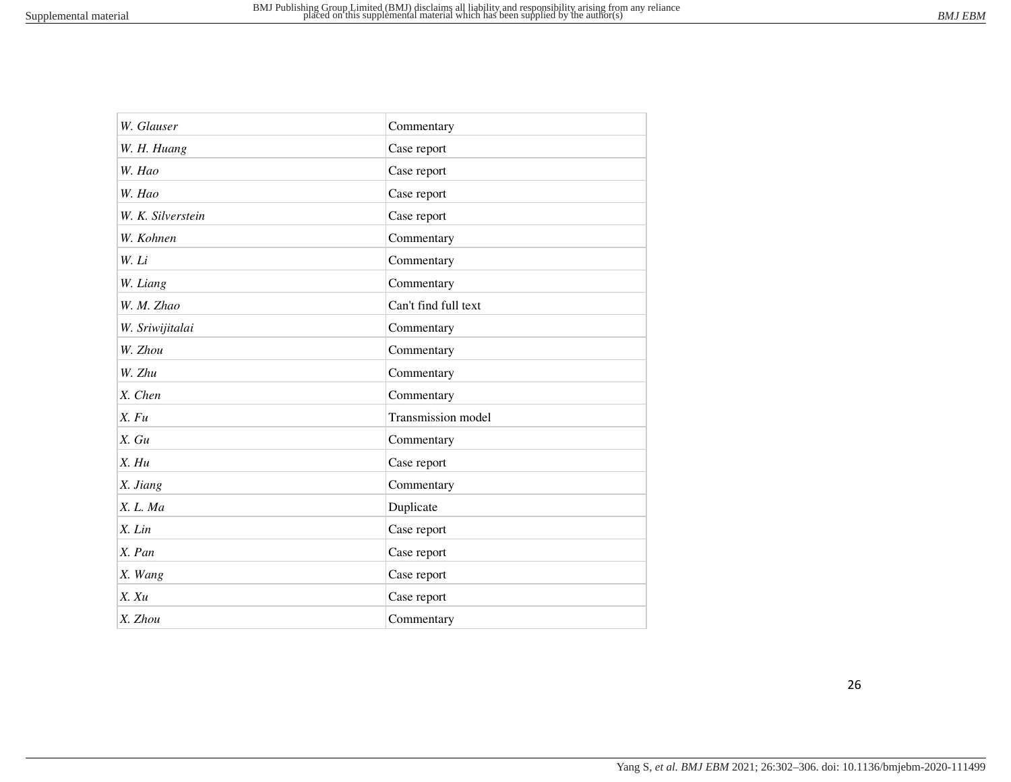| W. Glauser        | Commentary           |
|-------------------|----------------------|
| W. H. Huang       | Case report          |
| W. Hao            | Case report          |
| W. Hao            | Case report          |
| W. K. Silverstein | Case report          |
| W. Kohnen         | Commentary           |
| W. Li             | Commentary           |
| W. Liang          | Commentary           |
| W. M. Zhao        | Can't find full text |
| W. Sriwijitalai   | Commentary           |
| W. Zhou           | Commentary           |
| W. Zhu            | Commentary           |
| X. Chen           | Commentary           |
| X. Fu             | Transmission model   |
| X. Gu             | Commentary           |
| X. Hu             | Case report          |
| X. Jiang          | Commentary           |
| X. L. Ma          | Duplicate            |
| $X.$ $Lin$        | Case report          |
| X. Pan            | Case report          |
| X. Wang           | Case report          |
| X. Xu             | Case report          |
| X. Zhou           | Commentary           |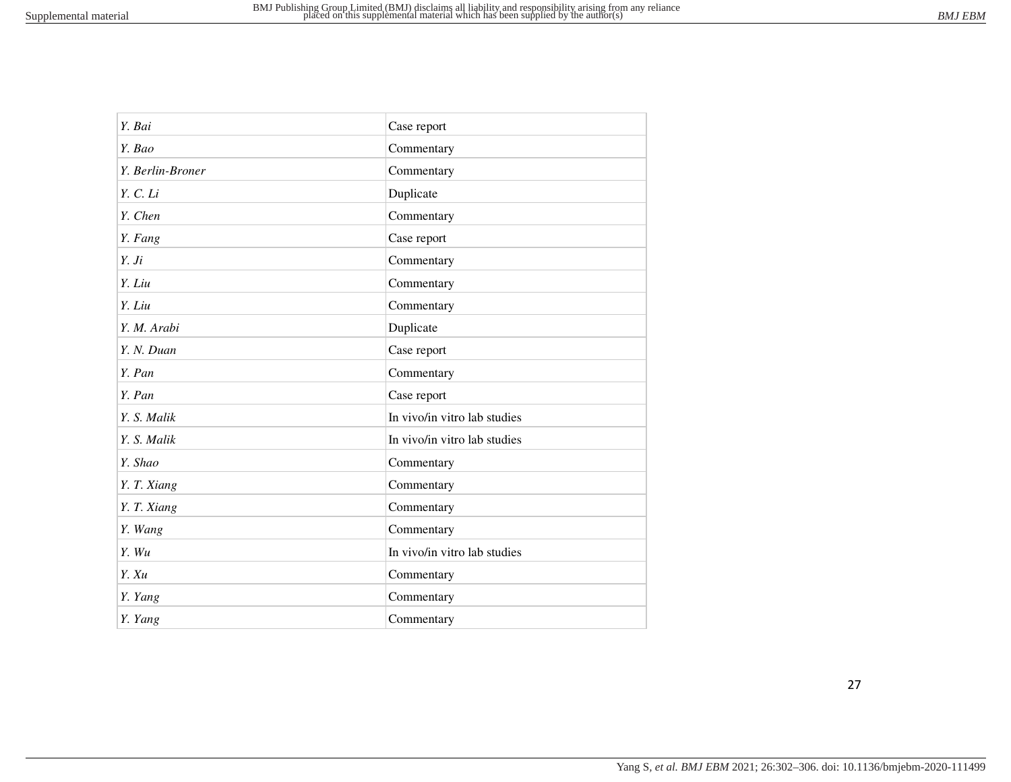| Y. Bai           | Case report                  |
|------------------|------------------------------|
| Y. Bao           | Commentary                   |
| Y. Berlin-Broner | Commentary                   |
| Y. C. Li         | Duplicate                    |
| Y. Chen          | Commentary                   |
| Y. Fang          | Case report                  |
| Y. Ji            | Commentary                   |
| Y. Liu           | Commentary                   |
| Y. Liu           | Commentary                   |
| Y. M. Arabi      | Duplicate                    |
| Y. N. Duan       | Case report                  |
| Y. Pan           | Commentary                   |
| Y. Pan           | Case report                  |
| Y. S. Malik      | In vivo/in vitro lab studies |
| Y. S. Malik      | In vivo/in vitro lab studies |
| Y. Shao          | Commentary                   |
| Y. T. Xiang      | Commentary                   |
| Y. T. Xiang      | Commentary                   |
| Y. Wang          | Commentary                   |
| Y. Wu            | In vivo/in vitro lab studies |
| Y. Xu            | Commentary                   |
| Y. Yang          | Commentary                   |
| Y. Yang          | Commentary                   |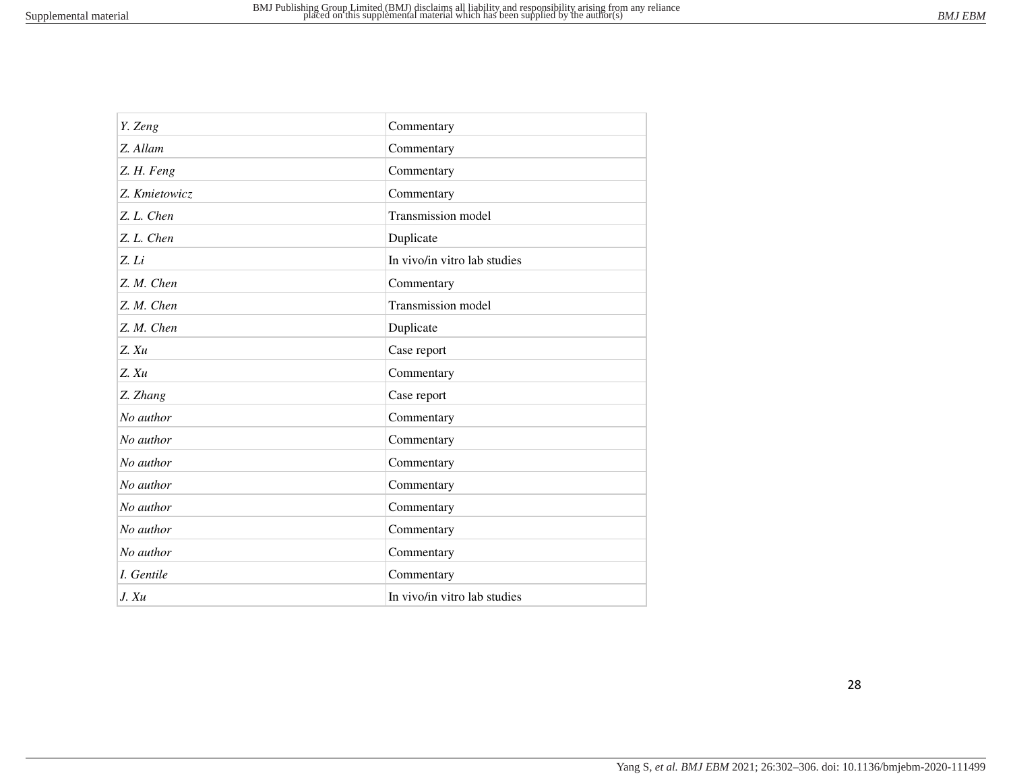| Y. Zeng       | Commentary                   |
|---------------|------------------------------|
| Z. Allam      | Commentary                   |
| Z. H. Feng    | Commentary                   |
| Z. Kmietowicz | Commentary                   |
| Z. L. Chen    | Transmission model           |
| Z. L. Chen    | Duplicate                    |
| Z. Li         | In vivo/in vitro lab studies |
| Z. M. Chen    | Commentary                   |
| Z. M. Chen    | Transmission model           |
| Z. M. Chen    | Duplicate                    |
| $Z$ . $Xu$    | Case report                  |
| $Z$ . $Xu$    | Commentary                   |
| Z. Zhang      | Case report                  |
| No author     | Commentary                   |
| No author     | Commentary                   |
| No author     | Commentary                   |
| No author     | Commentary                   |
| No author     | Commentary                   |
| No author     | Commentary                   |
| No author     | Commentary                   |
| I. Gentile    | Commentary                   |
| J. Xu         | In vivo/in vitro lab studies |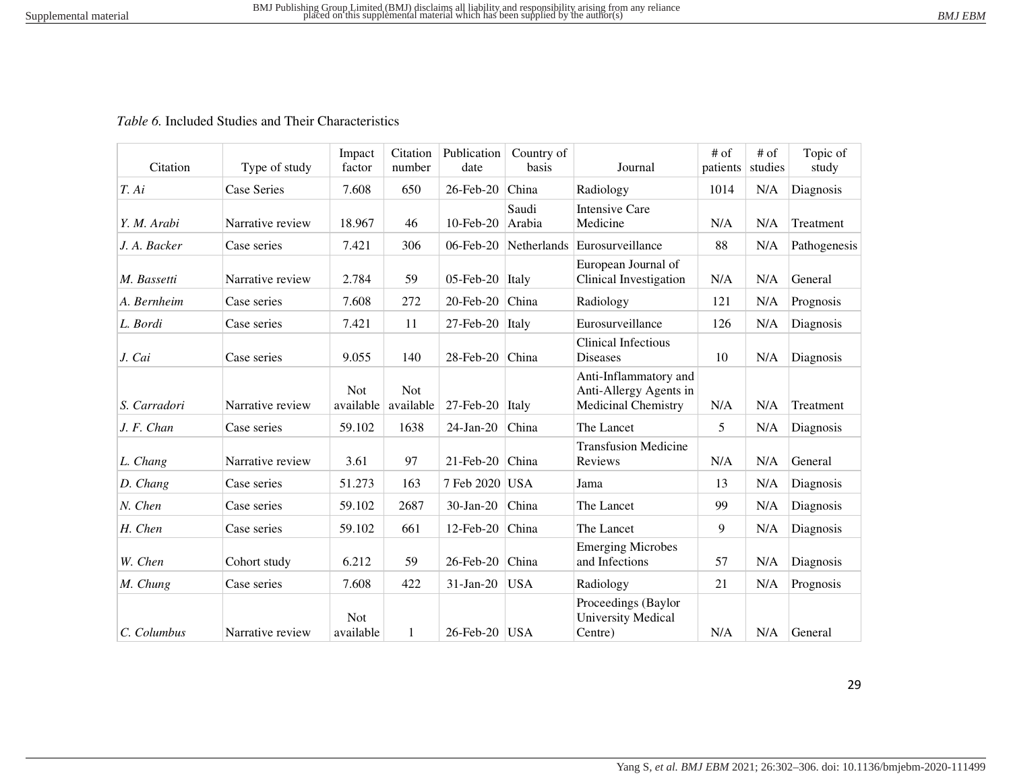#### *Table 6.* Included Studies and Their Characteristics

| Citation     | Type of study      | Impact<br>factor        | Citation<br>number      | Publication<br>date      | Country of<br>basis | Journal                                                                       | $#$ of<br>patients | $#$ of<br>studies | Topic of<br>study |
|--------------|--------------------|-------------------------|-------------------------|--------------------------|---------------------|-------------------------------------------------------------------------------|--------------------|-------------------|-------------------|
| T. Ai        | <b>Case Series</b> | 7.608                   | 650                     | 26-Feb-20                | China               | Radiology                                                                     | 1014               | N/A               | Diagnosis         |
| Y. M. Arabi  | Narrative review   | 18.967                  | 46                      | $10$ -Feb-20             | Saudi<br>Arabia     | <b>Intensive Care</b><br>Medicine                                             | N/A                | N/A               | Treatment         |
| J. A. Backer | Case series        | 7.421                   | 306                     | 06-Feb-20                | <b>Netherlands</b>  | Eurosurveillance                                                              | 88                 | N/A               | Pathogenesis      |
| M. Bassetti  | Narrative review   | 2.784                   | 59                      | 05-Feb-20                | Italy               | European Journal of<br>Clinical Investigation                                 | N/A                | N/A               | General           |
| A. Bernheim  | Case series        | 7.608                   | 272                     | 20-Feb-20                | China               | Radiology                                                                     | 121                | N/A               | Prognosis         |
| L. Bordi     | Case series        | 7.421                   | 11                      | $27$ -Feb-20             | Italy               | Eurosurveillance                                                              | 126                | N/A               | Diagnosis         |
| J. Cai       | Case series        | 9.055                   | 140                     | $28$ -Feb- $20$          | China               | <b>Clinical Infectious</b><br><b>Diseases</b>                                 | 10                 | N/A               | Diagnosis         |
| S. Carradori | Narrative review   | <b>Not</b><br>available | <b>Not</b><br>available | $27$ -Feb-20             | Italy               | Anti-Inflammatory and<br>Anti-Allergy Agents in<br><b>Medicinal Chemistry</b> | N/A                | N/A               | Treatment         |
| J. F. Chan   | Case series        | 59.102                  | 1638                    | $24$ -Jan-20             | China               | The Lancet                                                                    | 5                  | N/A               | Diagnosis         |
| L. Chang     | Narrative review   | 3.61                    | 97                      | $21$ -Feb-20             | China               | <b>Transfusion Medicine</b><br>Reviews                                        | N/A                | N/A               | General           |
| D. Chang     | Case series        | 51.273                  | 163                     | 7 Feb 2020   USA         |                     | Jama                                                                          | 13                 | N/A               | Diagnosis         |
| N. Chen      | Case series        | 59.102                  | 2687                    | $30$ -Jan-20             | China               | The Lancet                                                                    | 99                 | N/A               | Diagnosis         |
| H. Chen      | Case series        | 59.102                  | 661                     | 12-Feb-20                | China               | The Lancet                                                                    | 9                  | N/A               | Diagnosis         |
| W. Chen      | Cohort study       | 6.212                   | 59                      | 26-Feb-20                | China               | <b>Emerging Microbes</b><br>and Infections                                    | 57                 | N/A               | Diagnosis         |
| M. Chung     | Case series        | 7.608                   | 422                     | $31$ -Jan-20             | <b>USA</b>          | Radiology                                                                     | 21                 | N/A               | Prognosis         |
| C. Columbus  | Narrative review   | <b>Not</b><br>available | 1                       | $26$ -Feb-20 $\vert$ USA |                     | Proceedings (Baylor<br><b>University Medical</b><br>Centre)                   | N/A                | N/A               | General           |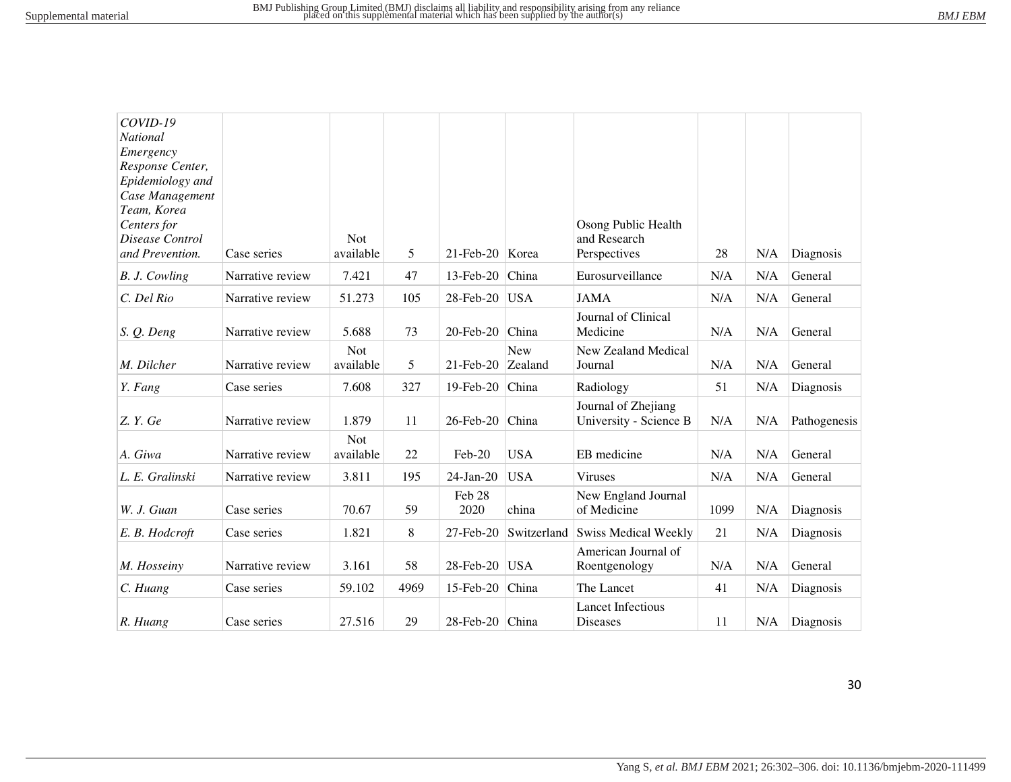| COVID-19                      |                  |            |      |                      |             |                             |      |     |              |
|-------------------------------|------------------|------------|------|----------------------|-------------|-----------------------------|------|-----|--------------|
| <b>National</b>               |                  |            |      |                      |             |                             |      |     |              |
| Emergency<br>Response Center, |                  |            |      |                      |             |                             |      |     |              |
| Epidemiology and              |                  |            |      |                      |             |                             |      |     |              |
| Case Management               |                  |            |      |                      |             |                             |      |     |              |
| Team, Korea                   |                  |            |      |                      |             |                             |      |     |              |
| Centers for                   |                  |            |      |                      |             | Osong Public Health         |      |     |              |
| Disease Control               |                  | Not.       |      |                      |             | and Research                |      |     |              |
| and Prevention.               | Case series      | available  | 5    | $21$ -Feb-20   Korea |             | Perspectives                | 28   | N/A | Diagnosis    |
| B. J. Cowling                 | Narrative review | 7.421      | 47   | $13$ -Feb-20         | China       | Eurosurveillance            | N/A  | N/A | General      |
| C. Del Rio                    | Narrative review | 51.273     | 105  | 28-Feb-20            | <b>USA</b>  | <b>JAMA</b>                 | N/A  | N/A | General      |
|                               |                  |            |      |                      |             | Journal of Clinical         |      |     |              |
| S. Q. Deng                    | Narrative review | 5.688      | 73   | 20-Feb-20            | China       | Medicine                    | N/A  | N/A | General      |
|                               |                  | <b>Not</b> |      |                      | <b>New</b>  | New Zealand Medical         |      |     |              |
| M. Dilcher                    | Narrative review | available  | 5    | $21$ -Feb-20         | Zealand     | Journal                     | N/A  | N/A | General      |
| Y. Fang                       | Case series      | 7.608      | 327  | 19-Feb-20            | China       | Radiology                   | 51   | N/A | Diagnosis    |
|                               |                  |            |      |                      |             | Journal of Zhejiang         |      |     |              |
| Z. Y. Ge                      | Narrative review | 1.879      | 11   | 26-Feb-20            | China       | University - Science B      | N/A  | N/A | Pathogenesis |
|                               |                  | <b>Not</b> |      |                      |             |                             |      |     |              |
| A. Giwa                       | Narrative review | available  | 22   | $Feb-20$             | <b>USA</b>  | EB medicine                 | N/A  | N/A | General      |
| L. E. Gralinski               | Narrative review | 3.811      | 195  | 24-Jan-20            | <b>USA</b>  | <b>Viruses</b>              | N/A  | N/A | General      |
|                               |                  |            |      | Feb 28               |             | New England Journal         |      |     |              |
| W. J. Guan                    | Case series      | 70.67      | 59   | 2020                 | china       | of Medicine                 | 1099 | N/A | Diagnosis    |
| E. B. Hodcroft                | Case series      | 1.821      | 8    | 27-Feb-20            | Switzerland | <b>Swiss Medical Weekly</b> | 21   | N/A | Diagnosis    |
|                               |                  |            |      |                      |             | American Journal of         |      |     |              |
| M. Hosseiny                   | Narrative review | 3.161      | 58   | 28-Feb-20            | <b>USA</b>  | Roentgenology               | N/A  | N/A | General      |
| C. Huang                      | Case series      | 59.102     | 4969 | 15-Feb-20            | China       | The Lancet                  | 41   | N/A | Diagnosis    |
|                               |                  |            |      |                      |             | <b>Lancet Infectious</b>    |      |     |              |
| R. Huang                      | Case series      | 27.516     | 29   | 28-Feb-20 China      |             | Diseases                    | 11   | N/A | Diagnosis    |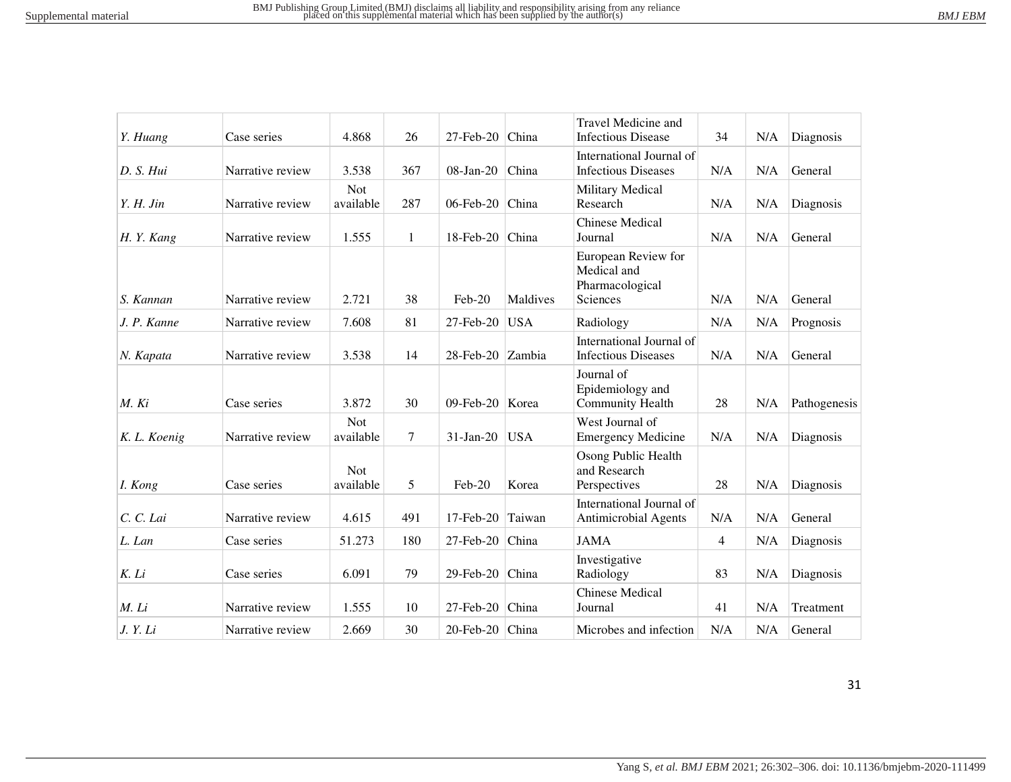|              |                  |                         |              |                   |            | Travel Medicine and                                               |                |     |              |
|--------------|------------------|-------------------------|--------------|-------------------|------------|-------------------------------------------------------------------|----------------|-----|--------------|
| Y. Huang     | Case series      | 4.868                   | 26           | $27$ -Feb-20      | China      | <b>Infectious Disease</b>                                         | 34             | N/A | Diagnosis    |
| D. S. Hui    | Narrative review | 3.538                   | 367          | 08-Jan-20         | China      | International Journal of<br><b>Infectious Diseases</b>            | N/A            | N/A | General      |
| $Y. H.$ Jin  | Narrative review | <b>Not</b><br>available | 287          | 06-Feb-20         | China      | Military Medical<br>Research                                      | N/A            | N/A | Diagnosis    |
| H.Y. Kang    | Narrative review | 1.555                   | $\mathbf{1}$ | 18-Feb-20 China   |            | <b>Chinese Medical</b><br>Journal                                 | N/A            | N/A | General      |
| S. Kannan    | Narrative review | 2.721                   | 38           | Feb-20            | Maldives   | European Review for<br>Medical and<br>Pharmacological<br>Sciences | N/A            | N/A | General      |
| J. P. Kanne  | Narrative review | 7.608                   | 81           | 27-Feb-20         | <b>USA</b> | Radiology                                                         | N/A            | N/A | Prognosis    |
| N. Kapata    | Narrative review | 3.538                   | 14           | 28-Feb-20 Zambia  |            | International Journal of<br><b>Infectious Diseases</b>            | N/A            | N/A | General      |
| M. Ki        | Case series      | 3.872                   | 30           | 09-Feb-20   Korea |            | Journal of<br>Epidemiology and<br><b>Community Health</b>         | 28             | N/A | Pathogenesis |
| K. L. Koenig | Narrative review | <b>Not</b><br>available | 7            | $31-Ian-20$       | <b>USA</b> | West Journal of<br><b>Emergency Medicine</b>                      | N/A            | N/A | Diagnosis    |
| I. Kong      | Case series      | <b>Not</b><br>available | 5            | $Feb-20$          | Korea      | Osong Public Health<br>and Research<br>Perspectives               | 28             | N/A | Diagnosis    |
| C. C. Lai    | Narrative review | 4.615                   | 491          | $17$ -Feb-20      | Taiwan     | International Journal of<br><b>Antimicrobial Agents</b>           | N/A            | N/A | General      |
| L. Lan       | Case series      | 51.273                  | 180          | 27-Feb-20         | China      | <b>JAMA</b>                                                       | $\overline{4}$ | N/A | Diagnosis    |
| K. Li        | Case series      | 6.091                   | 79           | 29-Feb-20 China   |            | Investigative<br>Radiology                                        | 83             | N/A | Diagnosis    |
| M. Li        | Narrative review | 1.555                   | 10           | 27-Feb-20         | China      | <b>Chinese Medical</b><br>Journal                                 | 41             | N/A | Treatment    |
| J. Y. Li     | Narrative review | 2.669                   | 30           | 20-Feb-20 China   |            | Microbes and infection                                            | N/A            | N/A | General      |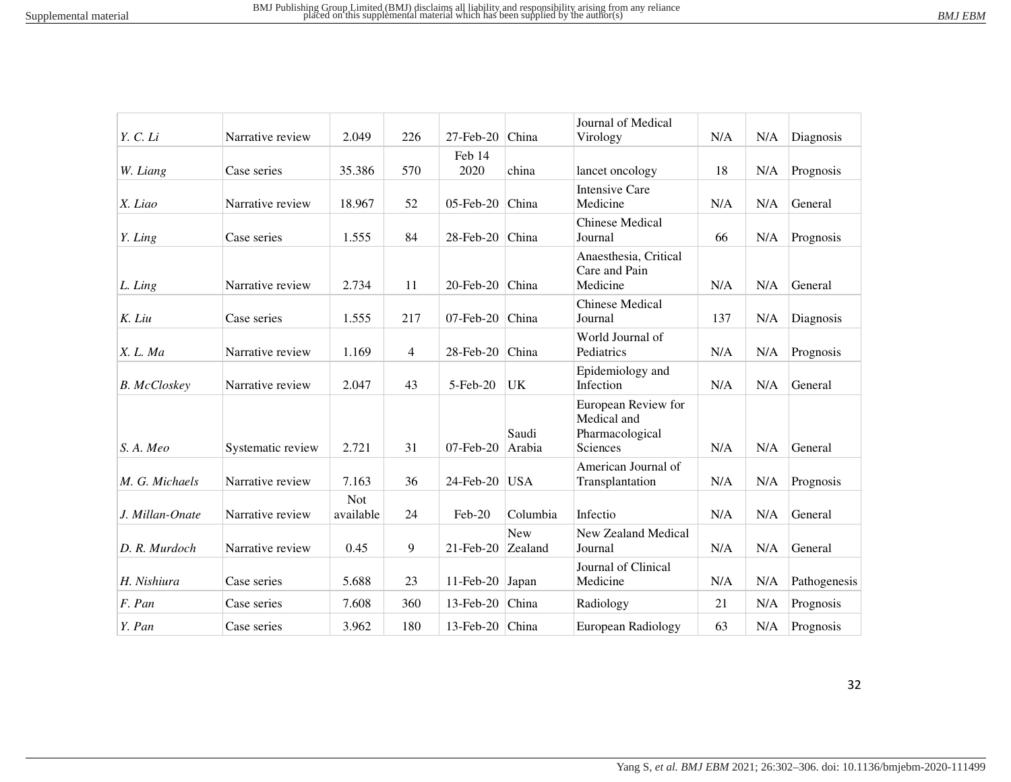| BM.I | F.B. |
|------|------|
|      |      |

|                     |                   |                         |                |                    |                 | Journal of Medical                                                |     |     |              |
|---------------------|-------------------|-------------------------|----------------|--------------------|-----------------|-------------------------------------------------------------------|-----|-----|--------------|
| Y. C. Li            | Narrative review  | 2.049                   | 226            | $27$ -Feb- $20$    | China           | Virology                                                          | N/A | N/A | Diagnosis    |
| W. Liang            | Case series       | 35.386                  | 570            | Feb 14<br>2020     | china           | lancet oncology                                                   | 18  | N/A | Prognosis    |
| X. Liao             | Narrative review  | 18.967                  | 52             | $05$ -Feb-20       | China           | <b>Intensive Care</b><br>Medicine                                 | N/A | N/A | General      |
| Y. Ling             | Case series       | 1.555                   | 84             | 28-Feb-20          | China           | <b>Chinese Medical</b><br>Journal                                 | 66  | N/A | Prognosis    |
| L. Ling             | Narrative review  | 2.734                   | 11             | 20-Feb-20          | China           | Anaesthesia, Critical<br>Care and Pain<br>Medicine                | N/A | N/A | General      |
| K. Liu              | Case series       | 1.555                   | 217            | $07$ -Feb-20       | China           | <b>Chinese Medical</b><br>Journal                                 | 137 | N/A | Diagnosis    |
| X. L. Ma            | Narrative review  | 1.169                   | $\overline{4}$ | 28-Feb-20          | China           | World Journal of<br>Pediatrics                                    | N/A | N/A | Prognosis    |
| <b>B.</b> McCloskey | Narrative review  | 2.047                   | 43             | 5-Feb-20           | UK              | Epidemiology and<br>Infection                                     | N/A | N/A | General      |
| S. A. Meo           | Systematic review | 2.721                   | 31             | $07$ -Feb-20       | Saudi<br>Arabia | European Review for<br>Medical and<br>Pharmacological<br>Sciences | N/A | N/A | General      |
| M. G. Michaels      | Narrative review  | 7.163                   | 36             | 24-Feb-20          | <b>USA</b>      | American Journal of<br>Transplantation                            | N/A | N/A | Prognosis    |
| J. Millan-Onate     | Narrative review  | <b>Not</b><br>available | 24             | Feb-20             | Columbia        | Infectio                                                          | N/A | N/A | General      |
| D. R. Murdoch       | Narrative review  | 0.45                    | 9              | $21$ -Feb-20       | New<br>Zealand  | New Zealand Medical<br>Journal                                    | N/A | N/A | General      |
| H. Nishiura         | Case series       | 5.688                   | 23             | $11$ -Feb-20       | Japan           | Journal of Clinical<br>Medicine                                   | N/A | N/A | Pathogenesis |
| F. Pan              | Case series       | 7.608                   | 360            | $13$ -Feb-20       | China           | Radiology                                                         | 21  | N/A | Prognosis    |
| Y. Pan              | Case series       | 3.962                   | 180            | 13-Feb-20 $ China$ |                 | European Radiology                                                | 63  | N/A | Prognosis    |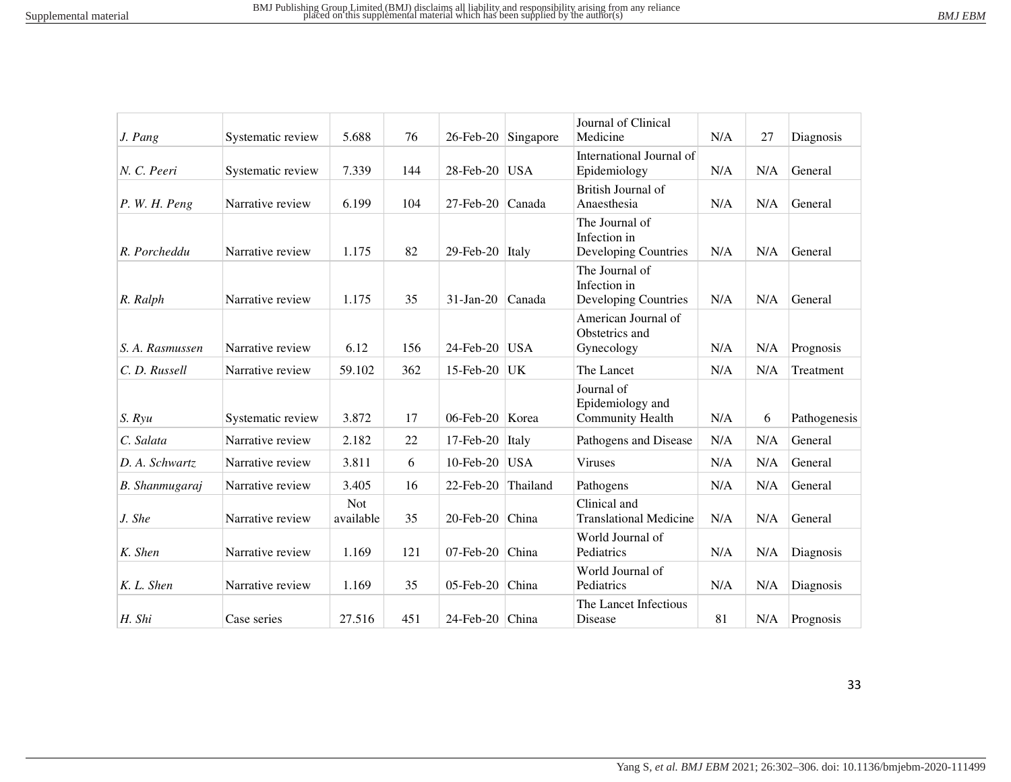| RM I | D<br>r n |
|------|----------|
|      |          |

| J. Pang          | Systematic review | 5.688                   | 76  |                      | 26-Feb-20 Singapore | Journal of Clinical<br>Medicine                           | N/A | 27  | Diagnosis    |
|------------------|-------------------|-------------------------|-----|----------------------|---------------------|-----------------------------------------------------------|-----|-----|--------------|
| N. C. Peeri      | Systematic review | 7.339                   | 144 | 28-Feb-20            | USA                 | International Journal of<br>Epidemiology                  | N/A | N/A | General      |
| P. W. H. Peng    | Narrative review  | 6.199                   | 104 | 27-Feb-20            | Canada              | British Journal of<br>Anaesthesia                         | N/A | N/A | General      |
| R. Porcheddu     | Narrative review  | 1.175                   | 82  | 29-Feb-20 Italy      |                     | The Journal of<br>Infection in<br>Developing Countries    | N/A | N/A | General      |
| R. Ralph         | Narrative review  | 1.175                   | 35  | $31-Ian-20$          | Canada              | The Journal of<br>Infection in<br>Developing Countries    | N/A | N/A | General      |
| S. A. Rasmussen  | Narrative review  | 6.12                    | 156 | 24-Feb-20            | <b>USA</b>          | American Journal of<br>Obstetrics and<br>Gynecology       | N/A | N/A | Prognosis    |
| C. D. Russell    | Narrative review  | 59.102                  | 362 | 15-Feb-20            | UK                  | The Lancet                                                | N/A | N/A | Treatment    |
| $S. R$ <i>yu</i> | Systematic review | 3.872                   | 17  | 06-Feb-20 Korea      |                     | Journal of<br>Epidemiology and<br><b>Community Health</b> | N/A | 6   | Pathogenesis |
| C. Salata        | Narrative review  | 2.182                   | 22  | 17-Feb-20            | Italy               | Pathogens and Disease                                     | N/A | N/A | General      |
| D. A. Schwartz   | Narrative review  | 3.811                   | 6   | $10$ -Feb-20         | <b>USA</b>          | <b>Viruses</b>                                            | N/A | N/A | General      |
| B. Shanmugaraj   | Narrative review  | 3.405                   | 16  | 22-Feb-20            | Thailand            | Pathogens                                                 | N/A | N/A | General      |
| J. She           | Narrative review  | <b>Not</b><br>available | 35  | 20-Feb-20            | China               | Clinical and<br><b>Translational Medicine</b>             | N/A | N/A | General      |
| K. Shen          | Narrative review  | 1.169                   | 121 | $07$ -Feb-20         | China               | World Journal of<br>Pediatrics                            | N/A | N/A | Diagnosis    |
| K. L. Shen       | Narrative review  | 1.169                   | 35  | 05-Feb-20            | China               | World Journal of<br>Pediatrics                            | N/A | N/A | Diagnosis    |
| H. Shi           | Case series       | 27.516                  | 451 | $24$ -Feb-20   China |                     | The Lancet Infectious<br>Disease                          | 81  | N/A | Prognosis    |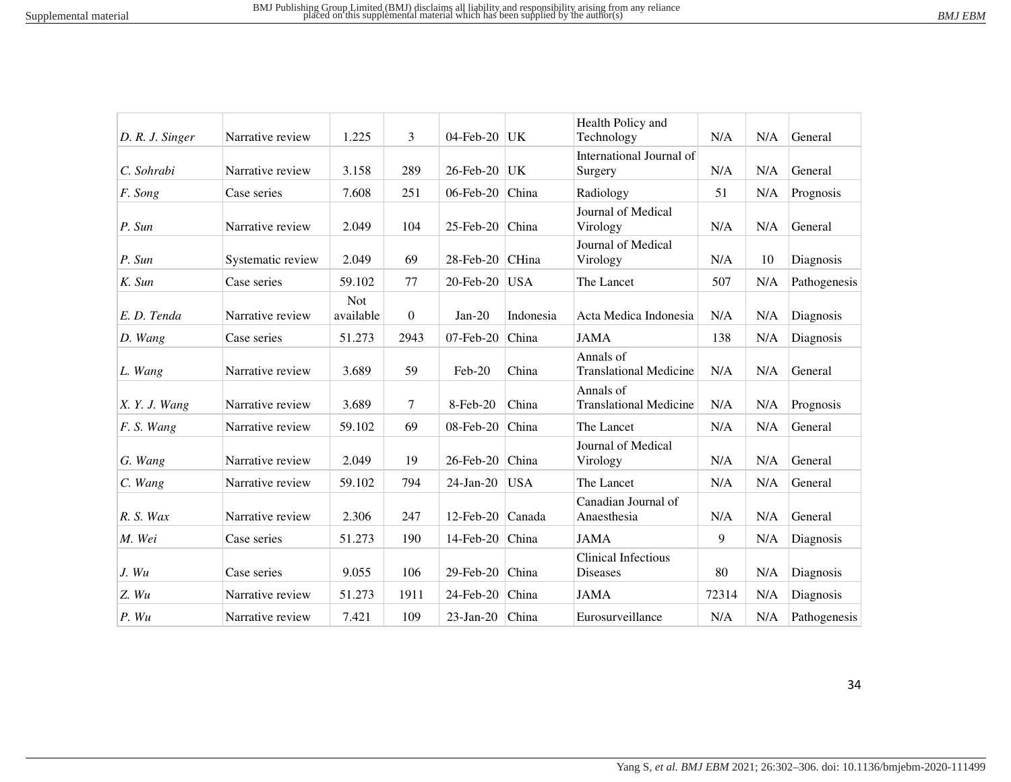| D. R. J. Singer | Narrative review  | 1.225                   | 3        | 04-Feb-20       | UK           | Health Policy and<br>Technology               | N/A   | N/A | General      |
|-----------------|-------------------|-------------------------|----------|-----------------|--------------|-----------------------------------------------|-------|-----|--------------|
| C. Sohrabi      | Narrative review  | 3.158                   | 289      | 26-Feb-20       | UK           | International Journal of<br>Surgery           | N/A   | N/A | General      |
| F. Song         | Case series       | 7.608                   | 251      | 06-Feb-20       | China        | Radiology                                     | 51    | N/A | Prognosis    |
| P. Sun          | Narrative review  | 2.049                   | 104      | 25-Feb-20       | China        | Journal of Medical<br>Virology                | N/A   | N/A | General      |
| P. Sun          | Systematic review | 2.049                   | 69       | 28-Feb-20       | <b>CHina</b> | Journal of Medical<br>Virology                | N/A   | 10  | Diagnosis    |
| K. Sun          | Case series       | 59.102                  | 77       | 20-Feb-20       | <b>USA</b>   | The Lancet                                    | 507   | N/A | Pathogenesis |
| E. D. Tenda     | Narrative review  | <b>Not</b><br>available | $\theta$ | $Jan-20$        | Indonesia    | Acta Medica Indonesia                         | N/A   | N/A | Diagnosis    |
| D. Wang         | Case series       | 51.273                  | 2943     | $07$ -Feb-20    | China        | <b>JAMA</b>                                   | 138   | N/A | Diagnosis    |
| L. Wang         | Narrative review  | 3.689                   | 59       | Feb-20          | China        | Annals of<br><b>Translational Medicine</b>    | N/A   | N/A | General      |
| X. Y. J. Wang   | Narrative review  | 3.689                   | 7        | 8-Feb-20        | China        | Annals of<br><b>Translational Medicine</b>    | N/A   | N/A | Prognosis    |
| F. S. Wang      | Narrative review  | 59.102                  | 69       | 08-Feb-20       | China        | The Lancet                                    | N/A   | N/A | General      |
| G. Wang         | Narrative review  | 2.049                   | 19       | 26-Feb-20       | China        | Journal of Medical<br>Virology                | N/A   | N/A | General      |
| C. Wang         | Narrative review  | 59.102                  | 794      | $24$ -Jan- $20$ | <b>USA</b>   | The Lancet                                    | N/A   | N/A | General      |
| $R. S.$ Wax     | Narrative review  | 2.306                   | 247      | $12$ -Feb-20    | Canada       | Canadian Journal of<br>Anaesthesia            | N/A   | N/A | General      |
| M. Wei          | Case series       | 51.273                  | 190      | 14-Feb-20       | China        | <b>JAMA</b>                                   | 9     | N/A | Diagnosis    |
| J. Wu           | Case series       | 9.055                   | 106      | 29-Feb-20       | China        | <b>Clinical Infectious</b><br><b>Diseases</b> | 80    | N/A | Diagnosis    |
| Z. Wu           | Narrative review  | 51.273                  | 1911     | 24-Feb-20       | China        | <b>JAMA</b>                                   | 72314 | N/A | Diagnosis    |
| P. Wu           | Narrative review  | 7.421                   | 109      | $23$ -Jan-20    | China        | Eurosurveillance                              | N/A   | N/A | Pathogenesis |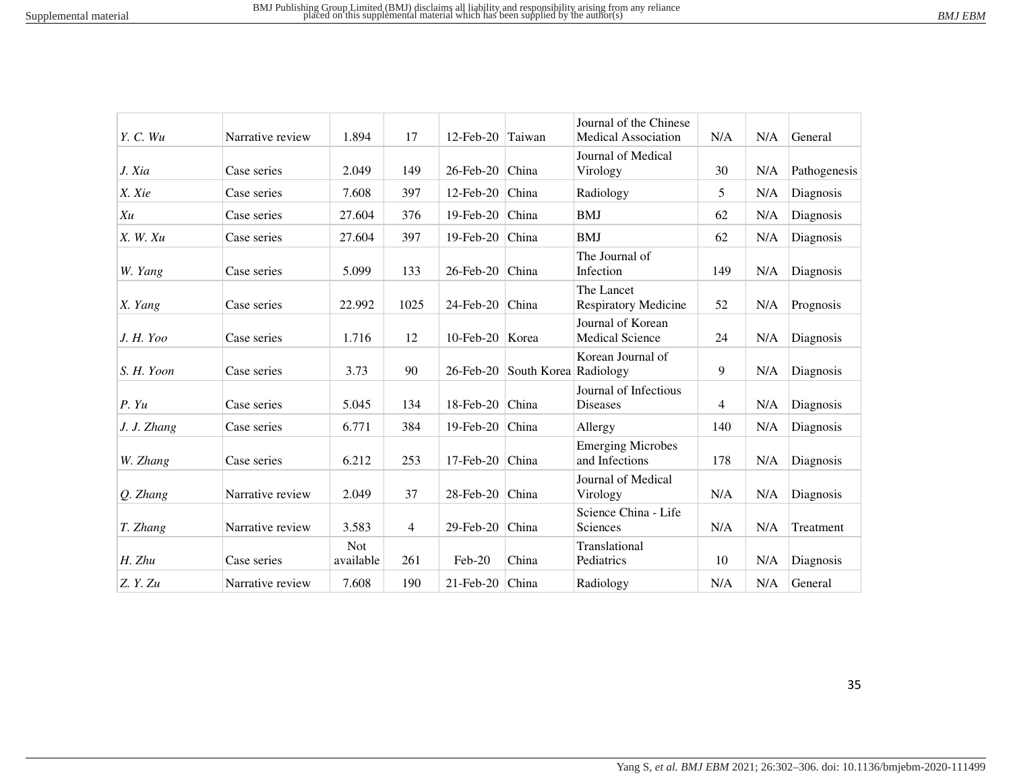| BM I<br>FRN |  |
|-------------|--|
|             |  |

| Y. C. Wu    | Narrative review | 1.894                   | 17             | $12$ -Feb-20    | Taiwan      | Journal of the Chinese<br><b>Medical Association</b> | N/A            | N/A | General      |
|-------------|------------------|-------------------------|----------------|-----------------|-------------|------------------------------------------------------|----------------|-----|--------------|
| J. Xia      | Case series      | 2.049                   | 149            | 26-Feb-20       | China       | Journal of Medical<br>Virology                       | 30             | N/A | Pathogenesis |
| X. Xie      | Case series      | 7.608                   | 397            | 12-Feb-20       | China       | Radiology                                            | 5              | N/A | Diagnosis    |
| Xu          | Case series      | 27.604                  | 376            | 19-Feb-20       | China       | <b>BMJ</b>                                           | 62             | N/A | Diagnosis    |
| X. W. Xu    | Case series      | 27.604                  | 397            | 19-Feb-20       | China       | <b>BMJ</b>                                           | 62             | N/A | Diagnosis    |
| W. Yang     | Case series      | 5.099                   | 133            | 26-Feb-20       | China       | The Journal of<br>Infection                          | 149            | N/A | Diagnosis    |
| X. Yang     | Case series      | 22.992                  | 1025           | 24-Feb-20       | China       | The Lancet<br>Respiratory Medicine                   | 52             | N/A | Prognosis    |
| J. H. Yoo   | Case series      | 1.716                   | 12             | 10-Feb-20 Korea |             | Journal of Korean<br><b>Medical Science</b>          | 24             | N/A | Diagnosis    |
| S. H. Yoon  | Case series      | 3.73                    | 90             | 26-Feb-20       | South Korea | Korean Journal of<br>Radiology                       | 9              | N/A | Diagnosis    |
| P. Yu       | Case series      | 5.045                   | 134            | 18-Feb-20       | China       | Journal of Infectious<br><b>Diseases</b>             | $\overline{4}$ | N/A | Diagnosis    |
| J. J. Zhang | Case series      | 6.771                   | 384            | 19-Feb-20       | China       | Allergy                                              | 140            | N/A | Diagnosis    |
| W. Zhang    | Case series      | 6.212                   | 253            | 17-Feb-20       | China       | <b>Emerging Microbes</b><br>and Infections           | 178            | N/A | Diagnosis    |
| Q. Zhang    | Narrative review | 2.049                   | 37             | 28-Feb-20       | China       | Journal of Medical<br>Virology                       | N/A            | N/A | Diagnosis    |
| T. Zhang    | Narrative review | 3.583                   | $\overline{4}$ | 29-Feb-20       | China       | Science China - Life<br>Sciences                     | N/A            | N/A | Treatment    |
| H. Zhu      | Case series      | <b>Not</b><br>available | 261            | Feb-20          | China       | Translational<br>Pediatrics                          | 10             | N/A | Diagnosis    |
| Z.Y.Zu      | Narrative review | 7.608                   | 190            | $21$ -Feb-20    | China       | Radiology                                            | N/A            | N/A | General      |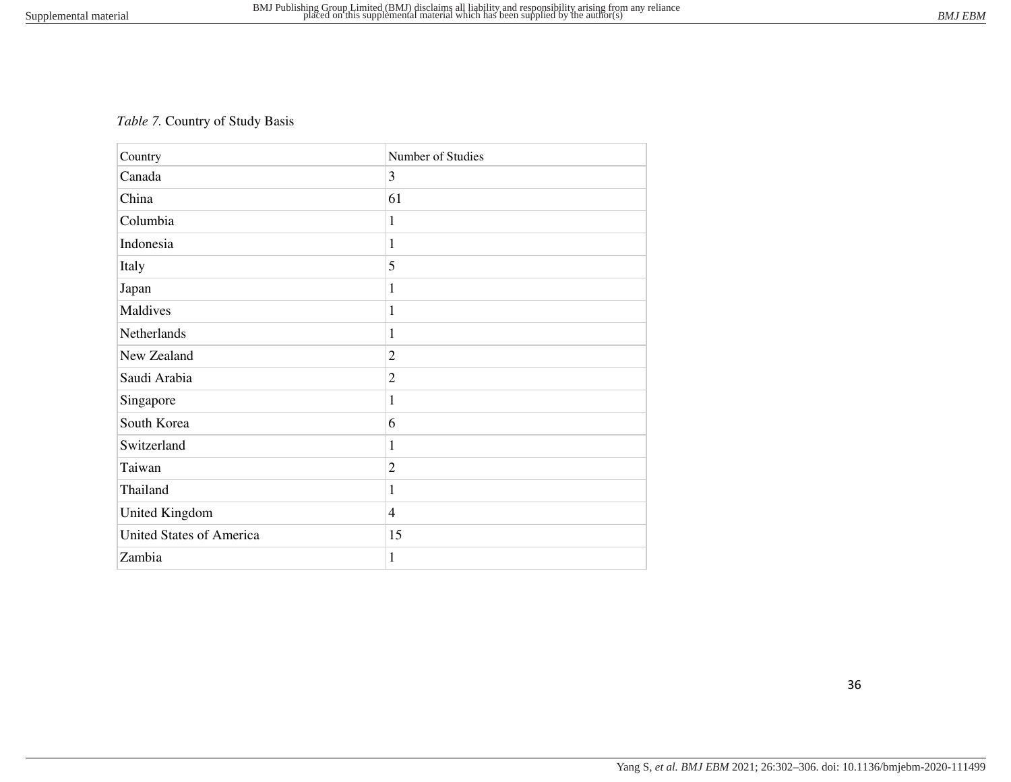# *Table 7.* Country of Study Basis

| Country                         | Number of Studies |
|---------------------------------|-------------------|
| Canada                          | 3                 |
| China                           | 61                |
| Columbia                        | 1                 |
| Indonesia                       | 1                 |
| Italy                           | 5                 |
| Japan                           | 1                 |
| Maldives                        | 1                 |
| Netherlands                     | 1                 |
| New Zealand                     | $\overline{2}$    |
| Saudi Arabia                    | $\overline{2}$    |
| Singapore                       | 1                 |
| South Korea                     | 6                 |
| Switzerland                     | 1                 |
| Taiwan                          | $\overline{2}$    |
| Thailand                        | 1                 |
| United Kingdom                  | $\overline{4}$    |
| <b>United States of America</b> | 15                |
| Zambia                          | $\mathbf{1}$      |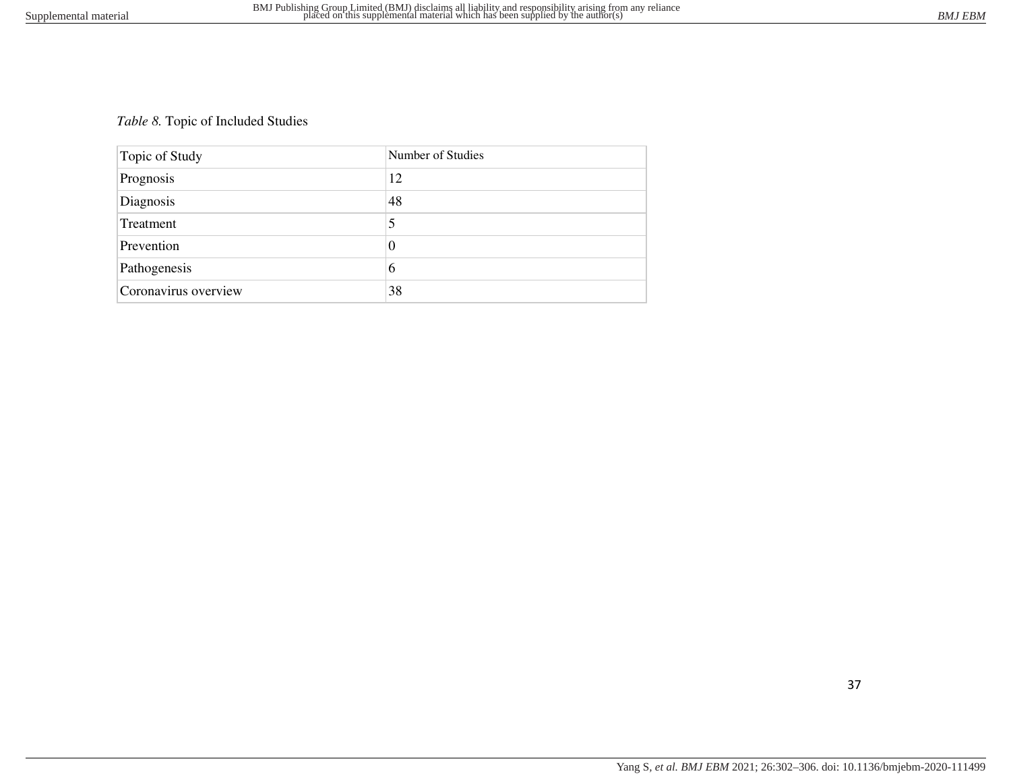# *Table 8.* Topic of Included Studies

| Topic of Study       | Number of Studies |
|----------------------|-------------------|
| Prognosis            | 12                |
| Diagnosis            | 48                |
| Treatment            | 5                 |
| Prevention           | 0                 |
| Pathogenesis         | 6                 |
| Coronavirus overview | 38                |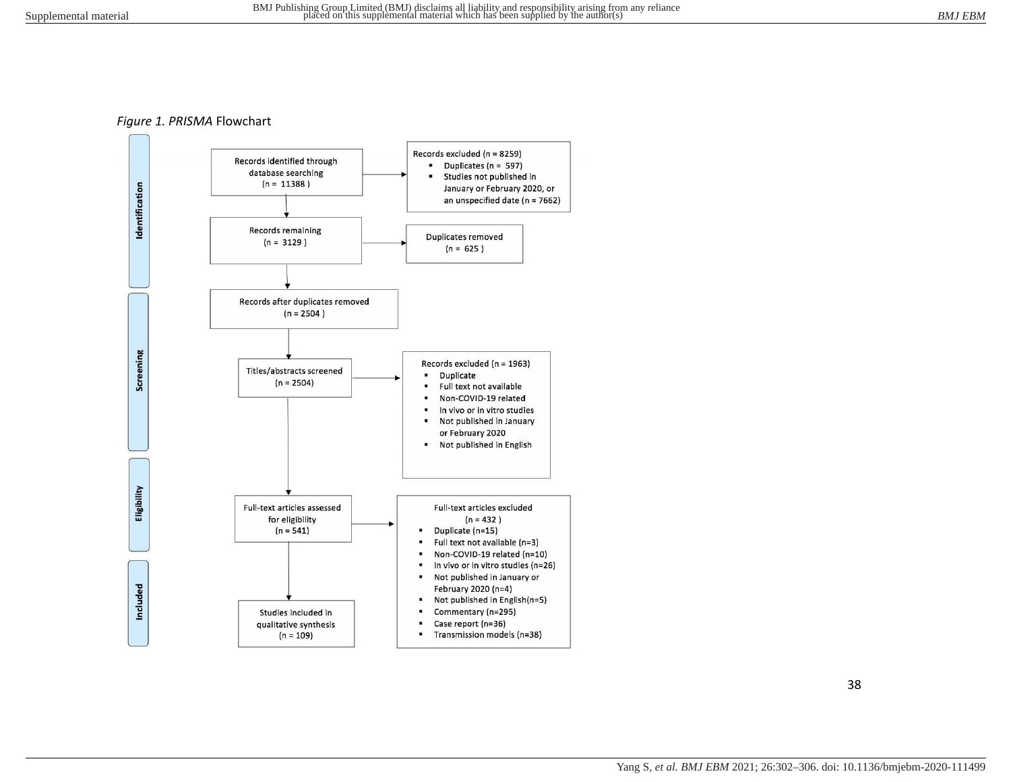#### *Figure 1. PRISMA* Flowchart